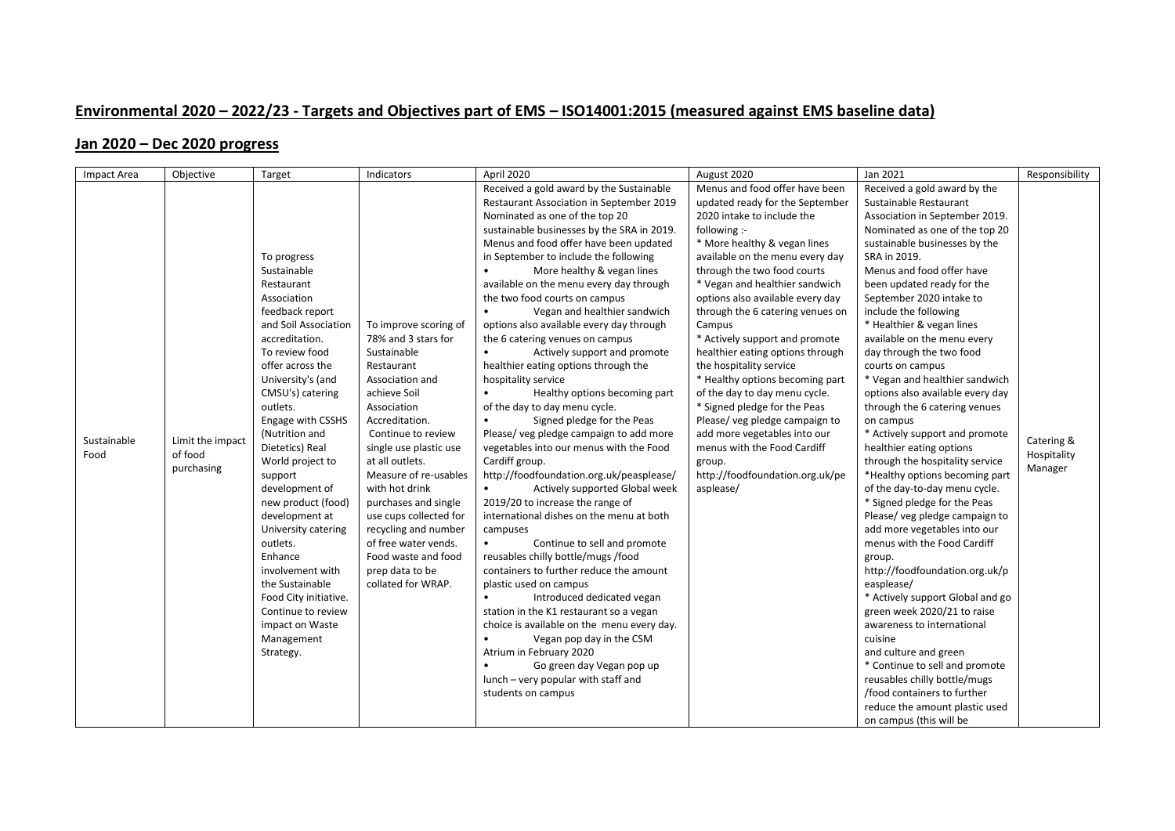## **Environmental 2020 – 2022/23 - Targets and Objectives part of EMS – ISO14001:2015 (measured against EMS baseline data)**

## **Jan 2020 – Dec 2020 progress**

| <b>Impact Area</b>  | Objective                                 | Target                                                                                                                                                                                                                                                                                                                                                                                                                                                                                                                                               | Indicators                                                                                                                                                                                                                                                                                                                                                                                                                    | April 2020                                                                                                                                                                                                                                                                                                                                                                                                                                                                                                                                                                                                                                                                                                                                                                                                                                                                                                                                                                                                                                                                                                                                                                                                                                                                                                                                                                                                                | August 2020                                                                                                                                                                                                                                                                                                                                                                                                                                                                                                                                                                                                                                                                                           | Jan 2021                                                                                                                                                                                                                                                                                                                                                                                                                                                                                                                                                                                                                                                                                                                                                                                                                                                                                                                                                                                                                                                                                                                                                                                     | Responsibility                       |
|---------------------|-------------------------------------------|------------------------------------------------------------------------------------------------------------------------------------------------------------------------------------------------------------------------------------------------------------------------------------------------------------------------------------------------------------------------------------------------------------------------------------------------------------------------------------------------------------------------------------------------------|-------------------------------------------------------------------------------------------------------------------------------------------------------------------------------------------------------------------------------------------------------------------------------------------------------------------------------------------------------------------------------------------------------------------------------|---------------------------------------------------------------------------------------------------------------------------------------------------------------------------------------------------------------------------------------------------------------------------------------------------------------------------------------------------------------------------------------------------------------------------------------------------------------------------------------------------------------------------------------------------------------------------------------------------------------------------------------------------------------------------------------------------------------------------------------------------------------------------------------------------------------------------------------------------------------------------------------------------------------------------------------------------------------------------------------------------------------------------------------------------------------------------------------------------------------------------------------------------------------------------------------------------------------------------------------------------------------------------------------------------------------------------------------------------------------------------------------------------------------------------|-------------------------------------------------------------------------------------------------------------------------------------------------------------------------------------------------------------------------------------------------------------------------------------------------------------------------------------------------------------------------------------------------------------------------------------------------------------------------------------------------------------------------------------------------------------------------------------------------------------------------------------------------------------------------------------------------------|----------------------------------------------------------------------------------------------------------------------------------------------------------------------------------------------------------------------------------------------------------------------------------------------------------------------------------------------------------------------------------------------------------------------------------------------------------------------------------------------------------------------------------------------------------------------------------------------------------------------------------------------------------------------------------------------------------------------------------------------------------------------------------------------------------------------------------------------------------------------------------------------------------------------------------------------------------------------------------------------------------------------------------------------------------------------------------------------------------------------------------------------------------------------------------------------|--------------------------------------|
| Sustainable<br>Food | Limit the impact<br>of food<br>purchasing | To progress<br>Sustainable<br>Restaurant<br>Association<br>feedback report<br>and Soil Association<br>accreditation.<br>To review food<br>offer across the<br>University's (and<br>CMSU's) catering<br>outlets.<br>Engage with CSSHS<br>(Nutrition and<br>Dietetics) Real<br>World project to<br>support<br>development of<br>new product (food)<br>development at<br>University catering<br>outlets.<br>Enhance<br>involvement with<br>the Sustainable<br>Food City initiative.<br>Continue to review<br>impact on Waste<br>Management<br>Strategy. | To improve scoring of<br>78% and 3 stars for<br>Sustainable<br>Restaurant<br>Association and<br>achieve Soil<br>Association<br>Accreditation.<br>Continue to review<br>single use plastic use<br>at all outlets.<br>Measure of re-usables<br>with hot drink<br>purchases and single<br>use cups collected for<br>recycling and number<br>of free water vends.<br>Food waste and food<br>prep data to be<br>collated for WRAP. | Received a gold award by the Sustainable<br>Restaurant Association in September 2019<br>Nominated as one of the top 20<br>sustainable businesses by the SRA in 2019.<br>Menus and food offer have been updated<br>in September to include the following<br>More healthy & vegan lines<br>available on the menu every day through<br>the two food courts on campus<br>$\bullet$<br>Vegan and healthier sandwich<br>options also available every day through<br>the 6 catering venues on campus<br>Actively support and promote<br>healthier eating options through the<br>hospitality service<br>Healthy options becoming part<br>of the day to day menu cycle.<br>Signed pledge for the Peas<br>Please/veg pledge campaign to add more<br>vegetables into our menus with the Food<br>Cardiff group.<br>http://foodfoundation.org.uk/peasplease/<br>Actively supported Global week<br>2019/20 to increase the range of<br>international dishes on the menu at both<br>campuses<br>$\bullet$<br>Continue to sell and promote<br>reusables chilly bottle/mugs/food<br>containers to further reduce the amount<br>plastic used on campus<br>$\bullet$<br>Introduced dedicated vegan<br>station in the K1 restaurant so a vegan<br>choice is available on the menu every day.<br>Vegan pop day in the CSM<br>Atrium in February 2020<br>Go green day Vegan pop up<br>lunch - very popular with staff and<br>students on campus | Menus and food offer have been<br>updated ready for the September<br>2020 intake to include the<br>following :-<br>* More healthy & vegan lines<br>available on the menu every day<br>through the two food courts<br>* Vegan and healthier sandwich<br>options also available every day<br>through the 6 catering venues on<br>Campus<br>* Actively support and promote<br>healthier eating options through<br>the hospitality service<br>* Healthy options becoming part<br>of the day to day menu cycle.<br>* Signed pledge for the Peas<br>Please/ veg pledge campaign to<br>add more vegetables into our<br>menus with the Food Cardiff<br>group.<br>http://foodfoundation.org.uk/pe<br>asplease/ | Received a gold award by the<br>Sustainable Restaurant<br>Association in September 2019.<br>Nominated as one of the top 20<br>sustainable businesses by the<br>SRA in 2019.<br>Menus and food offer have<br>been updated ready for the<br>September 2020 intake to<br>include the following<br>* Healthier & vegan lines<br>available on the menu every<br>day through the two food<br>courts on campus<br>* Vegan and healthier sandwich<br>options also available every day<br>through the 6 catering venues<br>on campus<br>* Actively support and promote<br>healthier eating options<br>through the hospitality service<br>*Healthy options becoming part<br>of the day-to-day menu cycle.<br>* Signed pledge for the Peas<br>Please/veg pledge campaign to<br>add more vegetables into our<br>menus with the Food Cardiff<br>group.<br>http://foodfoundation.org.uk/p<br>easplease/<br>* Actively support Global and go<br>green week 2020/21 to raise<br>awareness to international<br>cuisine<br>and culture and green<br>* Continue to sell and promote<br>reusables chilly bottle/mugs<br>/food containers to further<br>reduce the amount plastic used<br>on campus (this will be | Catering &<br>Hospitality<br>Manager |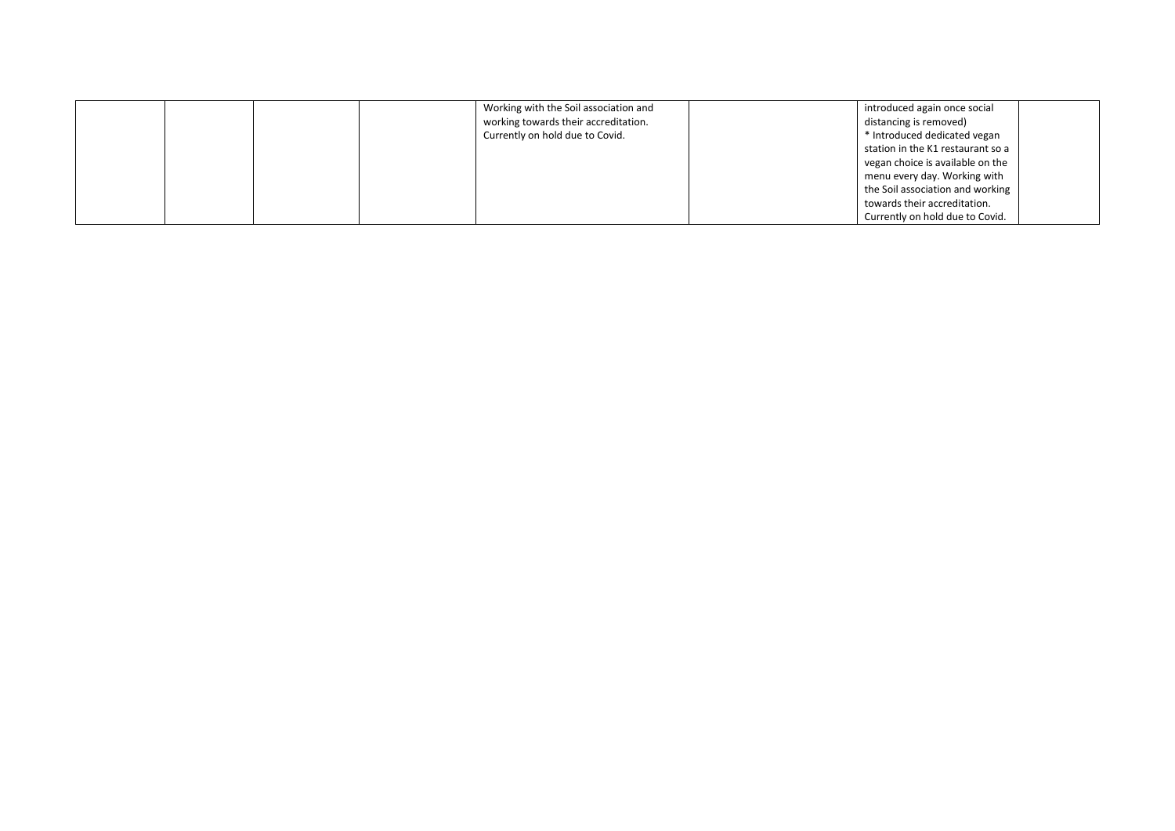|  |  | Working with the Soil association and | introduced again once social      |  |
|--|--|---------------------------------------|-----------------------------------|--|
|  |  | working towards their accreditation.  | distancing is removed)            |  |
|  |  | Currently on hold due to Covid.       | * Introduced dedicated vegan      |  |
|  |  |                                       | station in the K1 restaurant so a |  |
|  |  |                                       | vegan choice is available on the  |  |
|  |  |                                       | menu every day. Working with      |  |
|  |  |                                       | the Soil association and working  |  |
|  |  |                                       | towards their accreditation.      |  |
|  |  |                                       | Currently on hold due to Covid.   |  |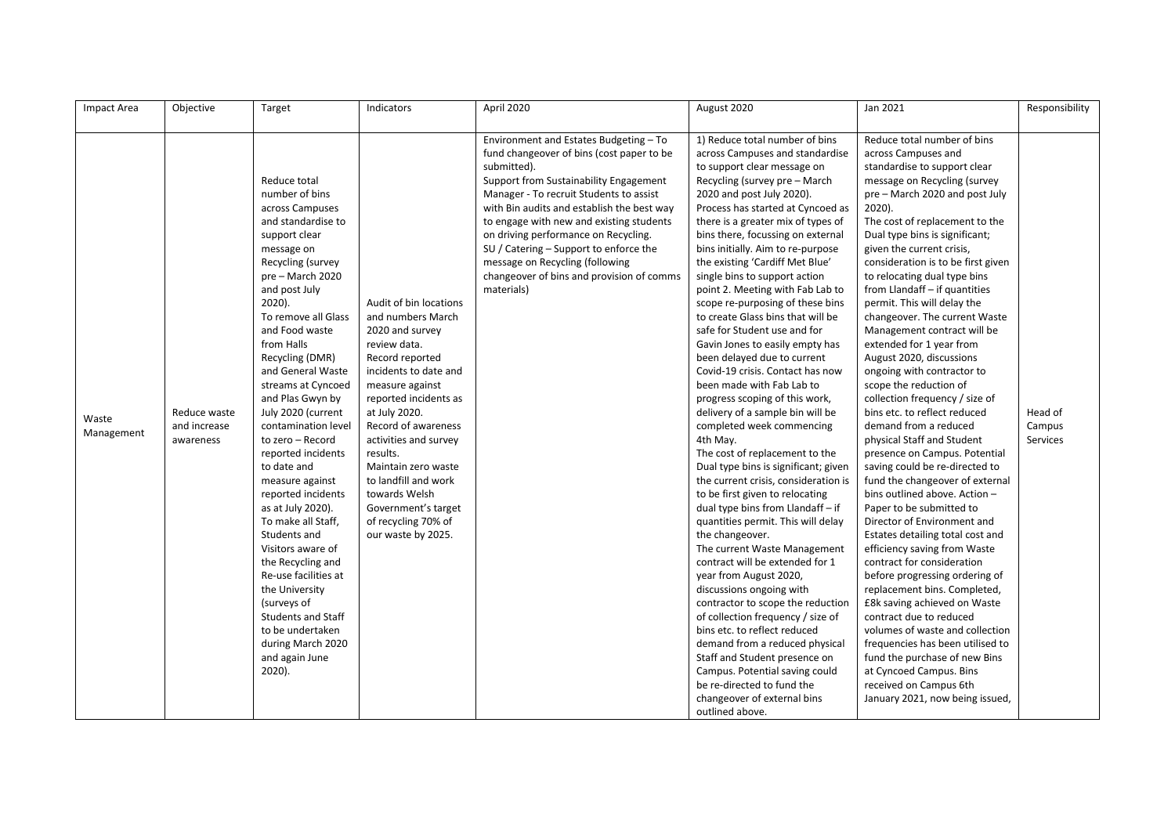| Impact Area         | Objective                                 | Target                                                                                                                                                                                                                                                                                                                                                                                                                                                                                                                                                                                                                                                                                                                                | Indicators                                                                                                                                                                                                                                                                                                                                                                              | April 2020                                                                                                                                                                                                                                                                                                                                                                                                                                                        | August 2020                                                                                                                                                                                                                                                                                                                                                                                                                                                                                                                                                                                                                                                                                                                                                                                                                                                                                                                                                                                                                                                                                                                                                                                                                                                                                                                                                                                                                                                       | Jan 2021                                                                                                                                                                                                                                                                                                                                                                                                                                                                                                                                                                                                                                                                                                                                                                                                                                                                                                                                                                                                                                                                                                                                                                                                                                                                                                                                           | Responsibility                |
|---------------------|-------------------------------------------|---------------------------------------------------------------------------------------------------------------------------------------------------------------------------------------------------------------------------------------------------------------------------------------------------------------------------------------------------------------------------------------------------------------------------------------------------------------------------------------------------------------------------------------------------------------------------------------------------------------------------------------------------------------------------------------------------------------------------------------|-----------------------------------------------------------------------------------------------------------------------------------------------------------------------------------------------------------------------------------------------------------------------------------------------------------------------------------------------------------------------------------------|-------------------------------------------------------------------------------------------------------------------------------------------------------------------------------------------------------------------------------------------------------------------------------------------------------------------------------------------------------------------------------------------------------------------------------------------------------------------|-------------------------------------------------------------------------------------------------------------------------------------------------------------------------------------------------------------------------------------------------------------------------------------------------------------------------------------------------------------------------------------------------------------------------------------------------------------------------------------------------------------------------------------------------------------------------------------------------------------------------------------------------------------------------------------------------------------------------------------------------------------------------------------------------------------------------------------------------------------------------------------------------------------------------------------------------------------------------------------------------------------------------------------------------------------------------------------------------------------------------------------------------------------------------------------------------------------------------------------------------------------------------------------------------------------------------------------------------------------------------------------------------------------------------------------------------------------------|----------------------------------------------------------------------------------------------------------------------------------------------------------------------------------------------------------------------------------------------------------------------------------------------------------------------------------------------------------------------------------------------------------------------------------------------------------------------------------------------------------------------------------------------------------------------------------------------------------------------------------------------------------------------------------------------------------------------------------------------------------------------------------------------------------------------------------------------------------------------------------------------------------------------------------------------------------------------------------------------------------------------------------------------------------------------------------------------------------------------------------------------------------------------------------------------------------------------------------------------------------------------------------------------------------------------------------------------------|-------------------------------|
| Waste<br>Management | Reduce waste<br>and increase<br>awareness | Reduce total<br>number of bins<br>across Campuses<br>and standardise to<br>support clear<br>message on<br>Recycling (survey<br>pre - March 2020<br>and post July<br>$2020$ ).<br>To remove all Glass<br>and Food waste<br>from Halls<br>Recycling (DMR)<br>and General Waste<br>streams at Cyncoed<br>and Plas Gwyn by<br>July 2020 (current<br>contamination level<br>to zero - Record<br>reported incidents<br>to date and<br>measure against<br>reported incidents<br>as at July 2020).<br>To make all Staff,<br>Students and<br>Visitors aware of<br>the Recycling and<br>Re-use facilities at<br>the University<br>(surveys of<br><b>Students and Staff</b><br>to be undertaken<br>during March 2020<br>and again June<br>2020). | Audit of bin locations<br>and numbers March<br>2020 and survey<br>review data.<br>Record reported<br>incidents to date and<br>measure against<br>reported incidents as<br>at July 2020.<br>Record of awareness<br>activities and survey<br>results.<br>Maintain zero waste<br>to landfill and work<br>towards Welsh<br>Government's target<br>of recycling 70% of<br>our waste by 2025. | Environment and Estates Budgeting - To<br>fund changeover of bins (cost paper to be<br>submitted).<br>Support from Sustainability Engagement<br>Manager - To recruit Students to assist<br>with Bin audits and establish the best way<br>to engage with new and existing students<br>on driving performance on Recycling.<br>SU / Catering - Support to enforce the<br>message on Recycling (following<br>changeover of bins and provision of comms<br>materials) | 1) Reduce total number of bins<br>across Campuses and standardise<br>to support clear message on<br>Recycling (survey pre - March<br>2020 and post July 2020).<br>Process has started at Cyncoed as<br>there is a greater mix of types of<br>bins there, focussing on external<br>bins initially. Aim to re-purpose<br>the existing 'Cardiff Met Blue'<br>single bins to support action<br>point 2. Meeting with Fab Lab to<br>scope re-purposing of these bins<br>to create Glass bins that will be<br>safe for Student use and for<br>Gavin Jones to easily empty has<br>been delayed due to current<br>Covid-19 crisis. Contact has now<br>been made with Fab Lab to<br>progress scoping of this work,<br>delivery of a sample bin will be<br>completed week commencing<br>4th May.<br>The cost of replacement to the<br>Dual type bins is significant; given<br>the current crisis, consideration is<br>to be first given to relocating<br>dual type bins from Llandaff - if<br>quantities permit. This will delay<br>the changeover.<br>The current Waste Management<br>contract will be extended for 1<br>year from August 2020,<br>discussions ongoing with<br>contractor to scope the reduction<br>of collection frequency / size of<br>bins etc. to reflect reduced<br>demand from a reduced physical<br>Staff and Student presence on<br>Campus. Potential saving could<br>be re-directed to fund the<br>changeover of external bins<br>outlined above. | Reduce total number of bins<br>across Campuses and<br>standardise to support clear<br>message on Recycling (survey<br>pre - March 2020 and post July<br>$2020$ ).<br>The cost of replacement to the<br>Dual type bins is significant;<br>given the current crisis,<br>consideration is to be first given<br>to relocating dual type bins<br>from Llandaff - if quantities<br>permit. This will delay the<br>changeover. The current Waste<br>Management contract will be<br>extended for 1 year from<br>August 2020, discussions<br>ongoing with contractor to<br>scope the reduction of<br>collection frequency / size of<br>bins etc. to reflect reduced<br>demand from a reduced<br>physical Staff and Student<br>presence on Campus. Potential<br>saving could be re-directed to<br>fund the changeover of external<br>bins outlined above. Action -<br>Paper to be submitted to<br>Director of Environment and<br>Estates detailing total cost and<br>efficiency saving from Waste<br>contract for consideration<br>before progressing ordering of<br>replacement bins. Completed,<br>£8k saving achieved on Waste<br>contract due to reduced<br>volumes of waste and collection<br>frequencies has been utilised to<br>fund the purchase of new Bins<br>at Cyncoed Campus. Bins<br>received on Campus 6th<br>January 2021, now being issued, | Head of<br>Campus<br>Services |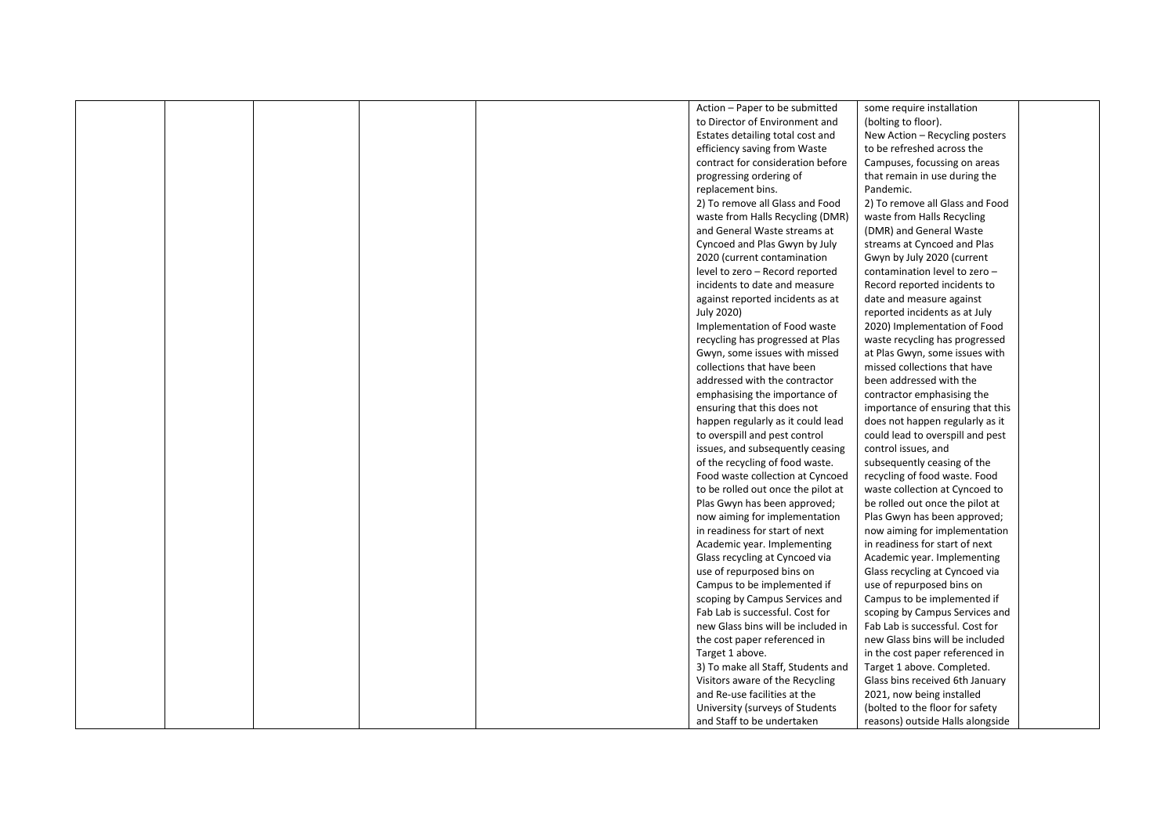|  |  | Action - Paper to be submitted     | some require installation        |  |
|--|--|------------------------------------|----------------------------------|--|
|  |  | to Director of Environment and     | (bolting to floor).              |  |
|  |  | Estates detailing total cost and   | New Action - Recycling posters   |  |
|  |  | efficiency saving from Waste       | to be refreshed across the       |  |
|  |  | contract for consideration before  | Campuses, focussing on areas     |  |
|  |  | progressing ordering of            | that remain in use during the    |  |
|  |  | replacement bins.                  | Pandemic.                        |  |
|  |  | 2) To remove all Glass and Food    | 2) To remove all Glass and Food  |  |
|  |  | waste from Halls Recycling (DMR)   | waste from Halls Recycling       |  |
|  |  | and General Waste streams at       | (DMR) and General Waste          |  |
|  |  | Cyncoed and Plas Gwyn by July      | streams at Cyncoed and Plas      |  |
|  |  | 2020 (current contamination        | Gwyn by July 2020 (current       |  |
|  |  | level to zero - Record reported    | contamination level to zero -    |  |
|  |  | incidents to date and measure      | Record reported incidents to     |  |
|  |  | against reported incidents as at   | date and measure against         |  |
|  |  | July 2020)                         | reported incidents as at July    |  |
|  |  | Implementation of Food waste       | 2020) Implementation of Food     |  |
|  |  |                                    |                                  |  |
|  |  | recycling has progressed at Plas   | waste recycling has progressed   |  |
|  |  | Gwyn, some issues with missed      | at Plas Gwyn, some issues with   |  |
|  |  | collections that have been         | missed collections that have     |  |
|  |  | addressed with the contractor      | been addressed with the          |  |
|  |  | emphasising the importance of      | contractor emphasising the       |  |
|  |  | ensuring that this does not        | importance of ensuring that this |  |
|  |  | happen regularly as it could lead  | does not happen regularly as it  |  |
|  |  | to overspill and pest control      | could lead to overspill and pest |  |
|  |  | issues, and subsequently ceasing   | control issues, and              |  |
|  |  | of the recycling of food waste.    | subsequently ceasing of the      |  |
|  |  | Food waste collection at Cyncoed   | recycling of food waste. Food    |  |
|  |  | to be rolled out once the pilot at | waste collection at Cyncoed to   |  |
|  |  | Plas Gwyn has been approved;       | be rolled out once the pilot at  |  |
|  |  | now aiming for implementation      | Plas Gwyn has been approved;     |  |
|  |  | in readiness for start of next     | now aiming for implementation    |  |
|  |  | Academic year. Implementing        | in readiness for start of next   |  |
|  |  | Glass recycling at Cyncoed via     | Academic year. Implementing      |  |
|  |  | use of repurposed bins on          | Glass recycling at Cyncoed via   |  |
|  |  | Campus to be implemented if        | use of repurposed bins on        |  |
|  |  | scoping by Campus Services and     | Campus to be implemented if      |  |
|  |  | Fab Lab is successful. Cost for    | scoping by Campus Services and   |  |
|  |  | new Glass bins will be included in | Fab Lab is successful. Cost for  |  |
|  |  | the cost paper referenced in       | new Glass bins will be included  |  |
|  |  | Target 1 above.                    | in the cost paper referenced in  |  |
|  |  | 3) To make all Staff, Students and | Target 1 above. Completed.       |  |
|  |  | Visitors aware of the Recycling    | Glass bins received 6th January  |  |
|  |  | and Re-use facilities at the       | 2021, now being installed        |  |
|  |  | University (surveys of Students    | (bolted to the floor for safety  |  |
|  |  | and Staff to be undertaken         | reasons) outside Halls alongside |  |
|  |  |                                    |                                  |  |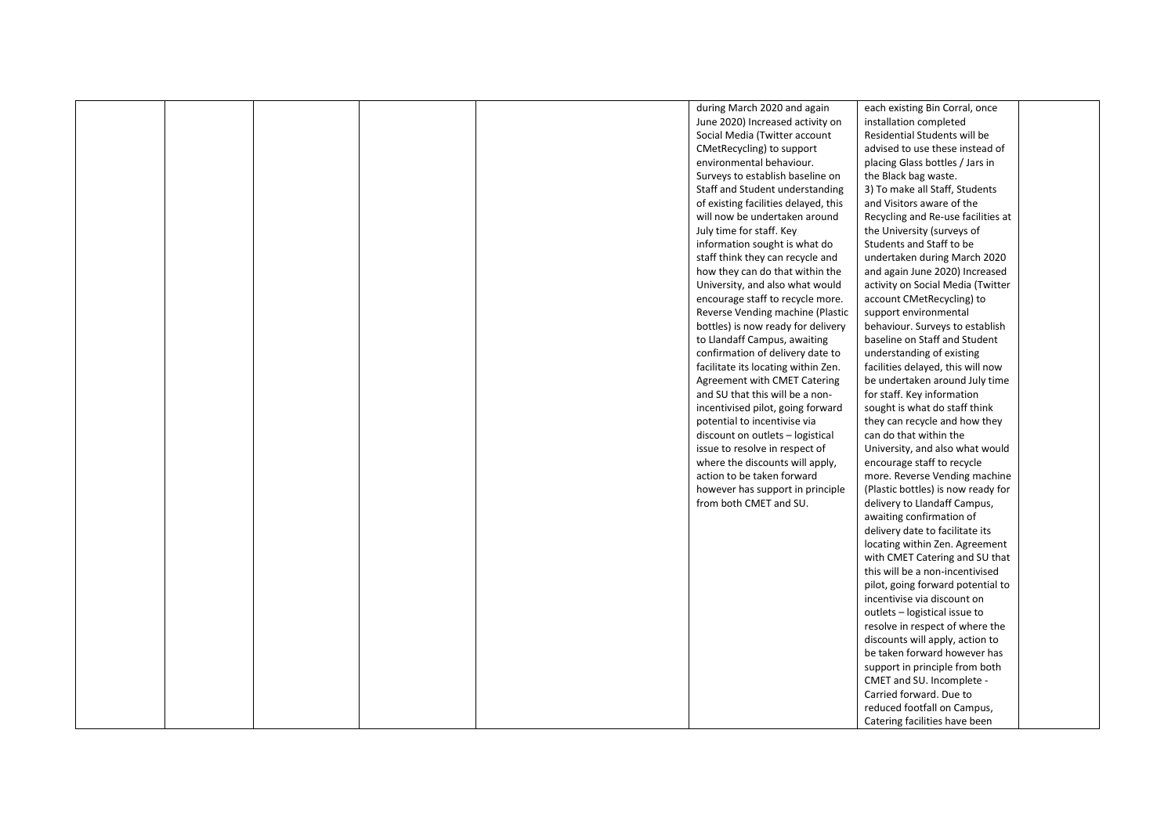|  |  | during March 2020 and again          | each existing Bin Corral, once     |  |
|--|--|--------------------------------------|------------------------------------|--|
|  |  | June 2020) Increased activity on     | installation completed             |  |
|  |  | Social Media (Twitter account        | Residential Students will be       |  |
|  |  | CMetRecycling) to support            | advised to use these instead of    |  |
|  |  | environmental behaviour.             | placing Glass bottles / Jars in    |  |
|  |  | Surveys to establish baseline on     | the Black bag waste.               |  |
|  |  | Staff and Student understanding      | 3) To make all Staff, Students     |  |
|  |  | of existing facilities delayed, this | and Visitors aware of the          |  |
|  |  | will now be undertaken around        | Recycling and Re-use facilities at |  |
|  |  | July time for staff. Key             | the University (surveys of         |  |
|  |  | information sought is what do        | Students and Staff to be           |  |
|  |  | staff think they can recycle and     | undertaken during March 2020       |  |
|  |  |                                      |                                    |  |
|  |  | how they can do that within the      | and again June 2020) Increased     |  |
|  |  | University, and also what would      | activity on Social Media (Twitter  |  |
|  |  | encourage staff to recycle more.     | account CMetRecycling) to          |  |
|  |  | Reverse Vending machine (Plastic     | support environmental              |  |
|  |  | bottles) is now ready for delivery   | behaviour. Surveys to establish    |  |
|  |  | to Llandaff Campus, awaiting         | baseline on Staff and Student      |  |
|  |  | confirmation of delivery date to     | understanding of existing          |  |
|  |  | facilitate its locating within Zen.  | facilities delayed, this will now  |  |
|  |  | <b>Agreement with CMET Catering</b>  | be undertaken around July time     |  |
|  |  | and SU that this will be a non-      | for staff. Key information         |  |
|  |  | incentivised pilot, going forward    | sought is what do staff think      |  |
|  |  | potential to incentivise via         | they can recycle and how they      |  |
|  |  | discount on outlets - logistical     | can do that within the             |  |
|  |  | issue to resolve in respect of       | University, and also what would    |  |
|  |  | where the discounts will apply,      | encourage staff to recycle         |  |
|  |  | action to be taken forward           | more. Reverse Vending machine      |  |
|  |  | however has support in principle     | (Plastic bottles) is now ready for |  |
|  |  | from both CMET and SU.               | delivery to Llandaff Campus,       |  |
|  |  |                                      | awaiting confirmation of           |  |
|  |  |                                      | delivery date to facilitate its    |  |
|  |  |                                      | locating within Zen. Agreement     |  |
|  |  |                                      | with CMET Catering and SU that     |  |
|  |  |                                      | this will be a non-incentivised    |  |
|  |  |                                      | pilot, going forward potential to  |  |
|  |  |                                      | incentivise via discount on        |  |
|  |  |                                      | outlets - logistical issue to      |  |
|  |  |                                      | resolve in respect of where the    |  |
|  |  |                                      | discounts will apply, action to    |  |
|  |  |                                      | be taken forward however has       |  |
|  |  |                                      | support in principle from both     |  |
|  |  |                                      |                                    |  |
|  |  |                                      | CMET and SU. Incomplete -          |  |
|  |  |                                      | Carried forward. Due to            |  |
|  |  |                                      | reduced footfall on Campus,        |  |
|  |  |                                      | Catering facilities have been      |  |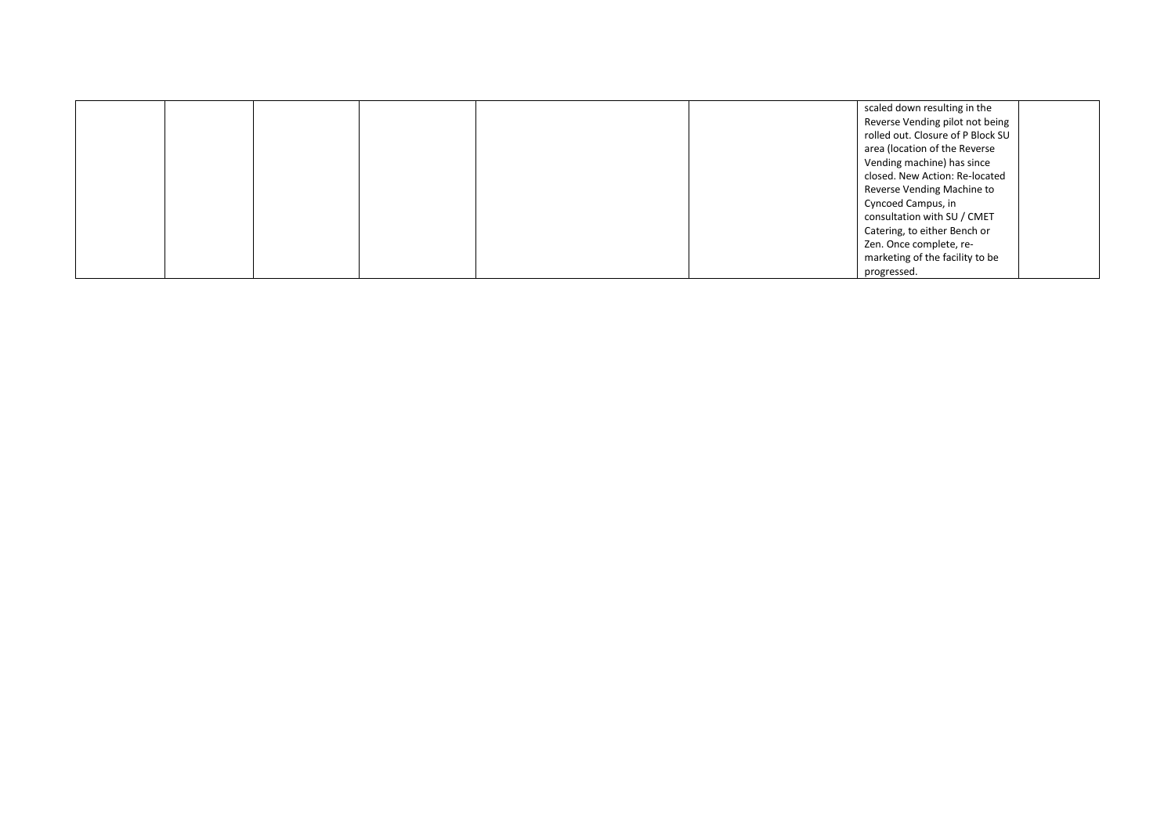|  |  |  | scaled down resulting in the      |  |
|--|--|--|-----------------------------------|--|
|  |  |  | Reverse Vending pilot not being   |  |
|  |  |  | rolled out. Closure of P Block SU |  |
|  |  |  | area (location of the Reverse     |  |
|  |  |  | Vending machine) has since        |  |
|  |  |  | closed. New Action: Re-located    |  |
|  |  |  | Reverse Vending Machine to        |  |
|  |  |  | Cyncoed Campus, in                |  |
|  |  |  | consultation with SU / CMET       |  |
|  |  |  | Catering, to either Bench or      |  |
|  |  |  | Zen. Once complete, re-           |  |
|  |  |  | marketing of the facility to be   |  |
|  |  |  | progressed.                       |  |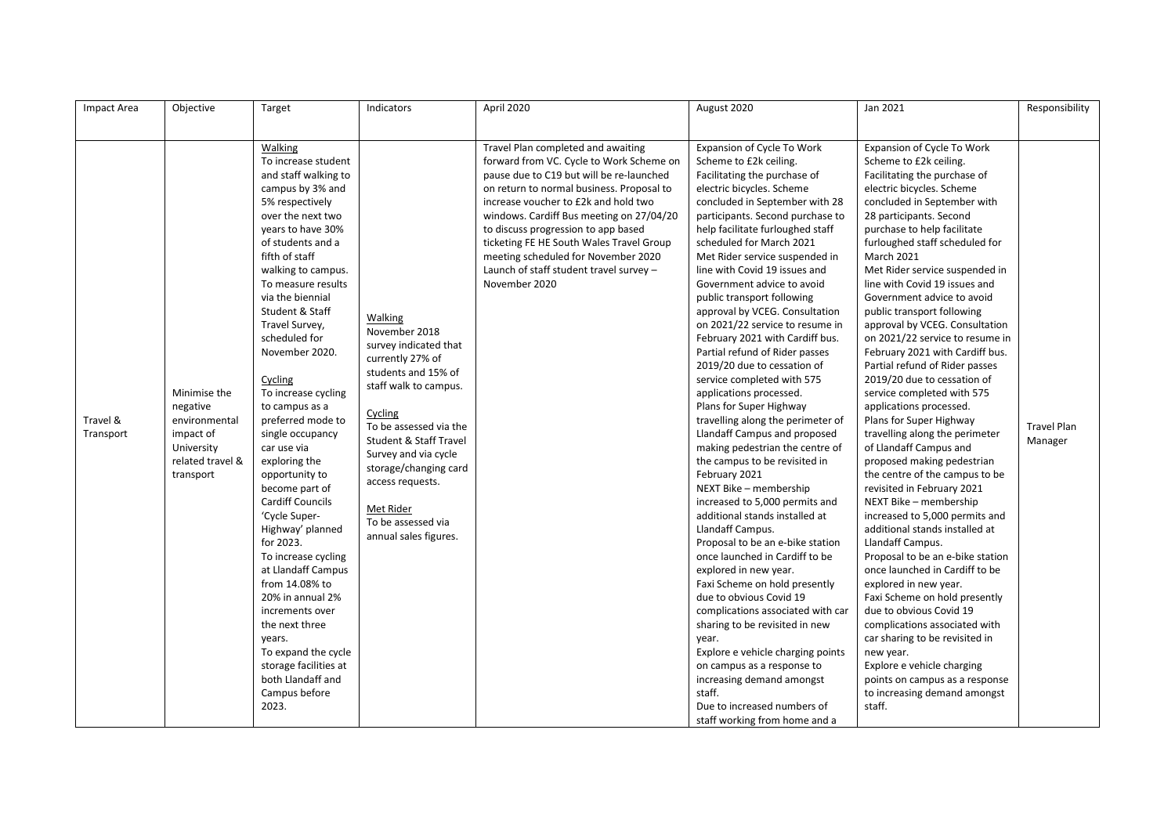| Impact Area           | Objective                                                                                             | Target                                                                                                                                                                                                                                                                                                                                                                                                                                                                                                                                                                                                            | Indicators                                                                                                                                                                                                                                                                                                                       | April 2020                                                                                                                                                                                                                                                                                                                                                                                                                                        | August 2020                                                                                                                                                                                                                                                                                                                                                                                                                                                                                                                                                                                                                                                                                                                                                                                                                                                                                                                                                                                                                    | Jan 2021                                                                                                                                                                                                                                                                                                                                                                                                                                                                                                                                                                                                                                                                                                                                                                                                                                                                                                                                                                                                 | Responsibility                |
|-----------------------|-------------------------------------------------------------------------------------------------------|-------------------------------------------------------------------------------------------------------------------------------------------------------------------------------------------------------------------------------------------------------------------------------------------------------------------------------------------------------------------------------------------------------------------------------------------------------------------------------------------------------------------------------------------------------------------------------------------------------------------|----------------------------------------------------------------------------------------------------------------------------------------------------------------------------------------------------------------------------------------------------------------------------------------------------------------------------------|---------------------------------------------------------------------------------------------------------------------------------------------------------------------------------------------------------------------------------------------------------------------------------------------------------------------------------------------------------------------------------------------------------------------------------------------------|--------------------------------------------------------------------------------------------------------------------------------------------------------------------------------------------------------------------------------------------------------------------------------------------------------------------------------------------------------------------------------------------------------------------------------------------------------------------------------------------------------------------------------------------------------------------------------------------------------------------------------------------------------------------------------------------------------------------------------------------------------------------------------------------------------------------------------------------------------------------------------------------------------------------------------------------------------------------------------------------------------------------------------|----------------------------------------------------------------------------------------------------------------------------------------------------------------------------------------------------------------------------------------------------------------------------------------------------------------------------------------------------------------------------------------------------------------------------------------------------------------------------------------------------------------------------------------------------------------------------------------------------------------------------------------------------------------------------------------------------------------------------------------------------------------------------------------------------------------------------------------------------------------------------------------------------------------------------------------------------------------------------------------------------------|-------------------------------|
|                       |                                                                                                       |                                                                                                                                                                                                                                                                                                                                                                                                                                                                                                                                                                                                                   |                                                                                                                                                                                                                                                                                                                                  |                                                                                                                                                                                                                                                                                                                                                                                                                                                   |                                                                                                                                                                                                                                                                                                                                                                                                                                                                                                                                                                                                                                                                                                                                                                                                                                                                                                                                                                                                                                |                                                                                                                                                                                                                                                                                                                                                                                                                                                                                                                                                                                                                                                                                                                                                                                                                                                                                                                                                                                                          |                               |
| Travel &<br>Transport | Minimise the<br>negative<br>environmental<br>impact of<br>University<br>related travel &<br>transport | Walking<br>To increase student<br>and staff walking to<br>campus by 3% and<br>5% respectively<br>over the next two<br>years to have 30%<br>of students and a<br>fifth of staff<br>walking to campus.<br>To measure results<br>via the biennial<br>Student & Staff<br>Travel Survey,<br>scheduled for<br>November 2020.<br>Cycling<br>To increase cycling<br>to campus as a<br>preferred mode to<br>single occupancy<br>car use via<br>exploring the<br>opportunity to<br>become part of<br><b>Cardiff Councils</b><br>'Cycle Super-<br>Highway' planned<br>for 2023.<br>To increase cycling<br>at Llandaff Campus | Walking<br>November 2018<br>survey indicated that<br>currently 27% of<br>students and 15% of<br>staff walk to campus.<br>Cycling<br>To be assessed via the<br><b>Student &amp; Staff Travel</b><br>Survey and via cycle<br>storage/changing card<br>access requests.<br>Met Rider<br>To be assessed via<br>annual sales figures. | Travel Plan completed and awaiting<br>forward from VC. Cycle to Work Scheme on<br>pause due to C19 but will be re-launched<br>on return to normal business. Proposal to<br>increase voucher to £2k and hold two<br>windows. Cardiff Bus meeting on 27/04/20<br>to discuss progression to app based<br>ticketing FE HE South Wales Travel Group<br>meeting scheduled for November 2020<br>Launch of staff student travel survey -<br>November 2020 | Expansion of Cycle To Work<br>Scheme to £2k ceiling.<br>Facilitating the purchase of<br>electric bicycles. Scheme<br>concluded in September with 28<br>participants. Second purchase to<br>help facilitate furloughed staff<br>scheduled for March 2021<br>Met Rider service suspended in<br>line with Covid 19 issues and<br>Government advice to avoid<br>public transport following<br>approval by VCEG. Consultation<br>on 2021/22 service to resume in<br>February 2021 with Cardiff bus.<br>Partial refund of Rider passes<br>2019/20 due to cessation of<br>service completed with 575<br>applications processed.<br>Plans for Super Highway<br>travelling along the perimeter of<br>Llandaff Campus and proposed<br>making pedestrian the centre of<br>the campus to be revisited in<br>February 2021<br>NEXT Bike - membership<br>increased to 5,000 permits and<br>additional stands installed at<br>Llandaff Campus.<br>Proposal to be an e-bike station<br>once launched in Cardiff to be<br>explored in new year. | Expansion of Cycle To Work<br>Scheme to £2k ceiling.<br>Facilitating the purchase of<br>electric bicycles. Scheme<br>concluded in September with<br>28 participants. Second<br>purchase to help facilitate<br>furloughed staff scheduled for<br>March 2021<br>Met Rider service suspended in<br>line with Covid 19 issues and<br>Government advice to avoid<br>public transport following<br>approval by VCEG. Consultation<br>on 2021/22 service to resume in<br>February 2021 with Cardiff bus.<br>Partial refund of Rider passes<br>2019/20 due to cessation of<br>service completed with 575<br>applications processed.<br>Plans for Super Highway<br>travelling along the perimeter<br>of Llandaff Campus and<br>proposed making pedestrian<br>the centre of the campus to be<br>revisited in February 2021<br>NEXT Bike - membership<br>increased to 5,000 permits and<br>additional stands installed at<br>Llandaff Campus.<br>Proposal to be an e-bike station<br>once launched in Cardiff to be | <b>Travel Plan</b><br>Manager |
|                       |                                                                                                       | from 14.08% to                                                                                                                                                                                                                                                                                                                                                                                                                                                                                                                                                                                                    |                                                                                                                                                                                                                                                                                                                                  |                                                                                                                                                                                                                                                                                                                                                                                                                                                   | Faxi Scheme on hold presently                                                                                                                                                                                                                                                                                                                                                                                                                                                                                                                                                                                                                                                                                                                                                                                                                                                                                                                                                                                                  | explored in new year.                                                                                                                                                                                                                                                                                                                                                                                                                                                                                                                                                                                                                                                                                                                                                                                                                                                                                                                                                                                    |                               |
|                       |                                                                                                       | 20% in annual 2%<br>increments over<br>the next three<br>years.<br>To expand the cycle<br>storage facilities at<br>both Llandaff and                                                                                                                                                                                                                                                                                                                                                                                                                                                                              |                                                                                                                                                                                                                                                                                                                                  |                                                                                                                                                                                                                                                                                                                                                                                                                                                   | due to obvious Covid 19<br>complications associated with car<br>sharing to be revisited in new<br>year.<br>Explore e vehicle charging points<br>on campus as a response to<br>increasing demand amongst                                                                                                                                                                                                                                                                                                                                                                                                                                                                                                                                                                                                                                                                                                                                                                                                                        | Faxi Scheme on hold presently<br>due to obvious Covid 19<br>complications associated with<br>car sharing to be revisited in<br>new year.<br>Explore e vehicle charging<br>points on campus as a response                                                                                                                                                                                                                                                                                                                                                                                                                                                                                                                                                                                                                                                                                                                                                                                                 |                               |
|                       |                                                                                                       | Campus before<br>2023.                                                                                                                                                                                                                                                                                                                                                                                                                                                                                                                                                                                            |                                                                                                                                                                                                                                                                                                                                  |                                                                                                                                                                                                                                                                                                                                                                                                                                                   | staff.<br>Due to increased numbers of<br>staff working from home and a                                                                                                                                                                                                                                                                                                                                                                                                                                                                                                                                                                                                                                                                                                                                                                                                                                                                                                                                                         | to increasing demand amongst<br>staff.                                                                                                                                                                                                                                                                                                                                                                                                                                                                                                                                                                                                                                                                                                                                                                                                                                                                                                                                                                   |                               |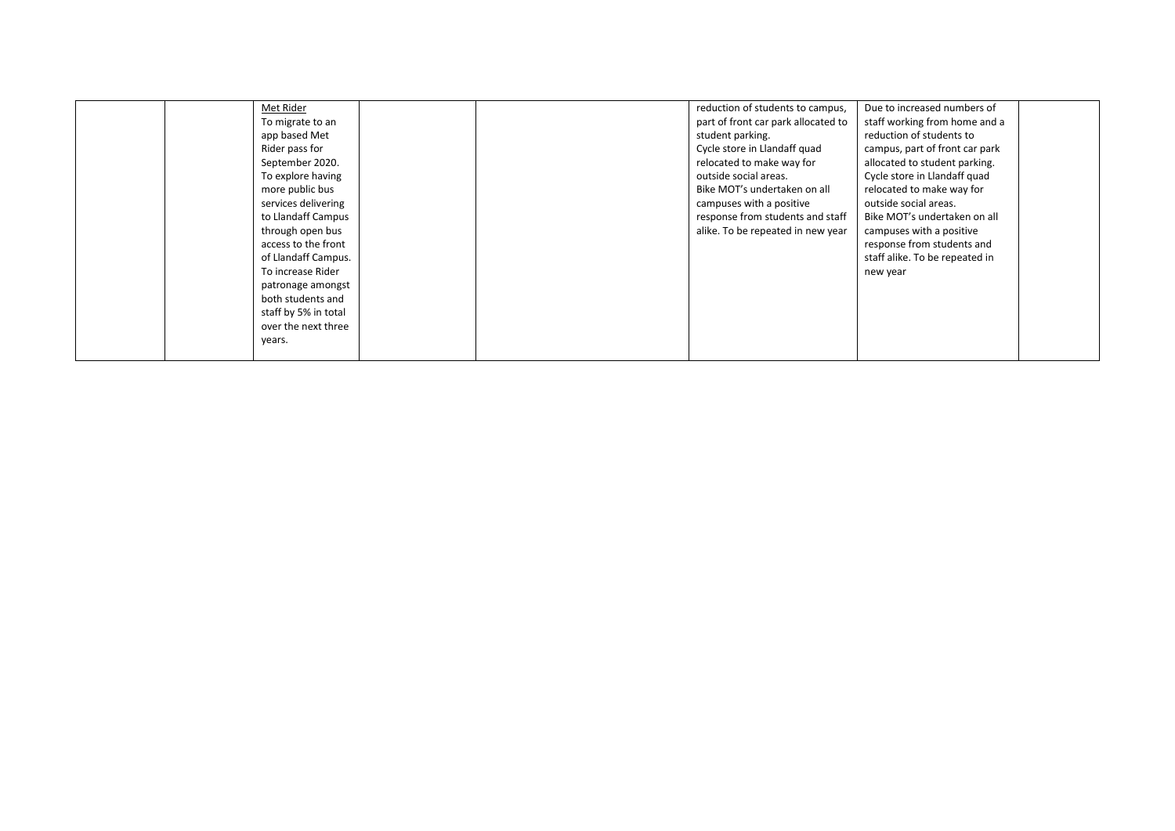| Met Rider<br>To migrate to an<br>app based Met<br>Rider pass for<br>September 2020.<br>To explore having<br>more public bus<br>services delivering<br>to Llandaff Campus<br>through open bus<br>access to the front<br>of Llandaff Campus.<br>To increase Rider<br>patronage amongst<br>both students and<br>staff by 5% in total<br>over the next three | reduction of students to campus,<br>part of front car park allocated to<br>student parking.<br>Cycle store in Llandaff quad<br>relocated to make way for<br>outside social areas.<br>Bike MOT's undertaken on all<br>campuses with a positive<br>response from students and staff<br>alike. To be repeated in new year | Due to increased numbers of<br>staff working from home and a<br>reduction of students to<br>campus, part of front car park<br>allocated to student parking.<br>Cycle store in Llandaff quad<br>relocated to make way for<br>outside social areas.<br>Bike MOT's undertaken on all<br>campuses with a positive<br>response from students and<br>staff alike. To be repeated in<br>new year |  |
|----------------------------------------------------------------------------------------------------------------------------------------------------------------------------------------------------------------------------------------------------------------------------------------------------------------------------------------------------------|------------------------------------------------------------------------------------------------------------------------------------------------------------------------------------------------------------------------------------------------------------------------------------------------------------------------|-------------------------------------------------------------------------------------------------------------------------------------------------------------------------------------------------------------------------------------------------------------------------------------------------------------------------------------------------------------------------------------------|--|
| years.                                                                                                                                                                                                                                                                                                                                                   |                                                                                                                                                                                                                                                                                                                        |                                                                                                                                                                                                                                                                                                                                                                                           |  |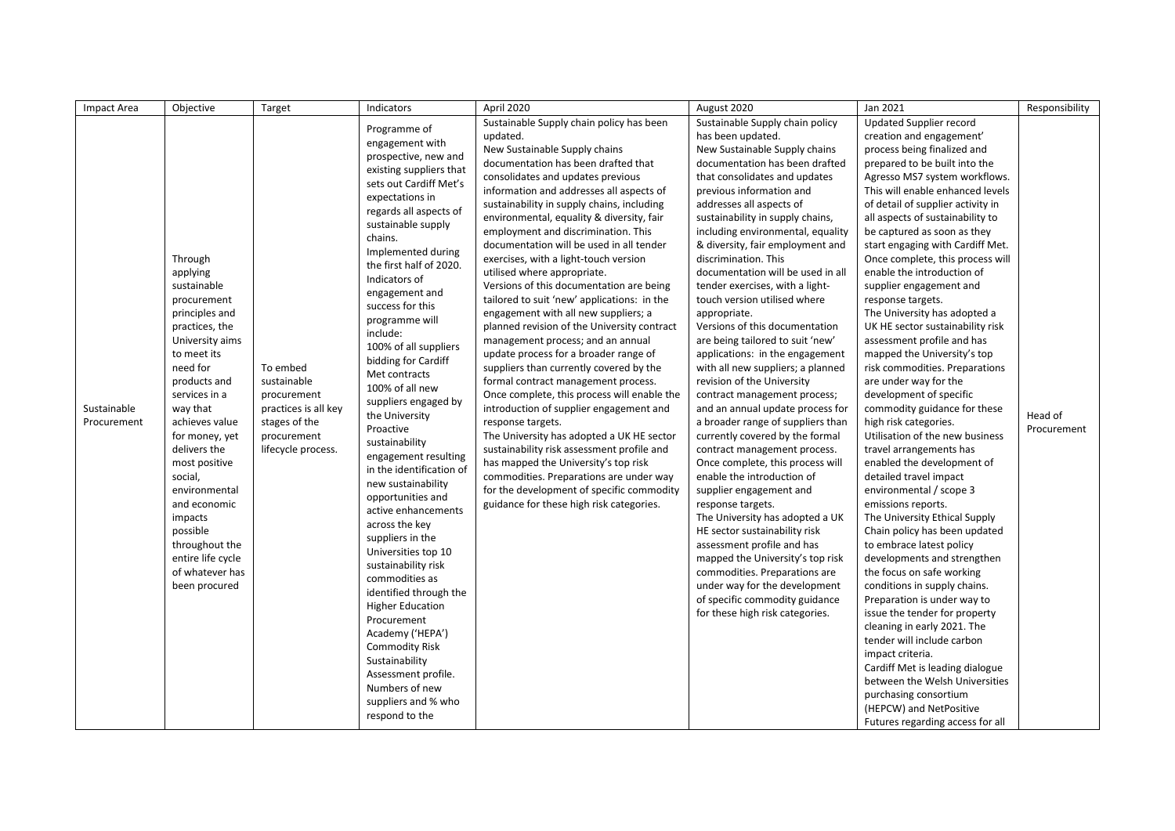| Impact Area | Objective                | Target               | Indicators                                   | April 2020                                                                           | August 2020                                          | Jan 2021                                          | Responsibility |
|-------------|--------------------------|----------------------|----------------------------------------------|--------------------------------------------------------------------------------------|------------------------------------------------------|---------------------------------------------------|----------------|
|             |                          |                      | Programme of                                 | Sustainable Supply chain policy has been                                             | Sustainable Supply chain policy                      | Updated Supplier record                           |                |
|             |                          |                      |                                              | updated.                                                                             | has been updated.                                    | creation and engagement'                          |                |
|             |                          |                      | engagement with<br>prospective, new and      | New Sustainable Supply chains                                                        | New Sustainable Supply chains                        | process being finalized and                       |                |
|             |                          |                      | existing suppliers that                      | documentation has been drafted that                                                  | documentation has been drafted                       | prepared to be built into the                     |                |
|             |                          |                      | sets out Cardiff Met's                       | consolidates and updates previous                                                    | that consolidates and updates                        | Agresso MS7 system workflows.                     |                |
|             |                          |                      |                                              | information and addresses all aspects of                                             | previous information and                             | This will enable enhanced levels                  |                |
|             |                          |                      | expectations in                              | sustainability in supply chains, including                                           | addresses all aspects of                             | of detail of supplier activity in                 |                |
|             |                          |                      | regards all aspects of<br>sustainable supply | environmental, equality & diversity, fair                                            | sustainability in supply chains,                     | all aspects of sustainability to                  |                |
|             |                          |                      | chains.                                      | employment and discrimination. This                                                  | including environmental, equality                    | be captured as soon as they                       |                |
|             |                          |                      | Implemented during                           | documentation will be used in all tender                                             | & diversity, fair employment and                     | start engaging with Cardiff Met.                  |                |
|             | Through                  |                      | the first half of 2020.                      | exercises, with a light-touch version                                                | discrimination. This                                 | Once complete, this process will                  |                |
|             | applying                 |                      | Indicators of                                | utilised where appropriate.                                                          | documentation will be used in all                    | enable the introduction of                        |                |
|             | sustainable              |                      | engagement and                               | Versions of this documentation are being                                             | tender exercises, with a light-                      | supplier engagement and                           |                |
|             | procurement              |                      | success for this                             | tailored to suit 'new' applications: in the                                          | touch version utilised where                         | response targets.                                 |                |
|             | principles and           |                      | programme will                               | engagement with all new suppliers; a                                                 | appropriate.                                         | The University has adopted a                      |                |
|             | practices, the           |                      | include:                                     | planned revision of the University contract                                          | Versions of this documentation                       | UK HE sector sustainability risk                  |                |
|             | University aims          |                      | 100% of all suppliers                        | management process; and an annual                                                    | are being tailored to suit 'new'                     | assessment profile and has                        |                |
|             | to meet its              |                      | bidding for Cardiff                          | update process for a broader range of                                                | applications: in the engagement                      | mapped the University's top                       |                |
|             | need for                 | To embed             | Met contracts                                | suppliers than currently covered by the                                              | with all new suppliers; a planned                    | risk commodities. Preparations                    |                |
|             | products and             | sustainable          | 100% of all new                              | formal contract management process.                                                  | revision of the University                           | are under way for the                             |                |
|             | services in a            | procurement          | suppliers engaged by                         | Once complete, this process will enable the                                          | contract management process;                         | development of specific                           |                |
| Sustainable | way that                 | practices is all key | the University                               | introduction of supplier engagement and                                              | and an annual update process for                     | commodity guidance for these                      | Head of        |
| Procurement | achieves value           | stages of the        | Proactive                                    | response targets.                                                                    | a broader range of suppliers than                    | high risk categories.                             | Procurement    |
|             | for money, yet           | procurement          | sustainability                               | The University has adopted a UK HE sector                                            | currently covered by the formal                      | Utilisation of the new business                   |                |
|             | delivers the             | lifecycle process.   | engagement resulting                         | sustainability risk assessment profile and                                           | contract management process.                         | travel arrangements has                           |                |
|             | most positive            |                      | in the identification of                     | has mapped the University's top risk                                                 | Once complete, this process will                     | enabled the development of                        |                |
|             | social,<br>environmental |                      | new sustainability                           | commodities. Preparations are under way<br>for the development of specific commodity | enable the introduction of                           | detailed travel impact<br>environmental / scope 3 |                |
|             | and economic             |                      | opportunities and                            | guidance for these high risk categories.                                             | supplier engagement and                              | emissions reports.                                |                |
|             | impacts                  |                      | active enhancements                          |                                                                                      | response targets.<br>The University has adopted a UK | The University Ethical Supply                     |                |
|             | possible                 |                      | across the key                               |                                                                                      | HE sector sustainability risk                        | Chain policy has been updated                     |                |
|             | throughout the           |                      | suppliers in the                             |                                                                                      | assessment profile and has                           | to embrace latest policy                          |                |
|             | entire life cycle        |                      | Universities top 10                          |                                                                                      | mapped the University's top risk                     | developments and strengthen                       |                |
|             | of whatever has          |                      | sustainability risk                          |                                                                                      | commodities. Preparations are                        | the focus on safe working                         |                |
|             | been procured            |                      | commodities as                               |                                                                                      | under way for the development                        | conditions in supply chains.                      |                |
|             |                          |                      | identified through the                       |                                                                                      | of specific commodity guidance                       | Preparation is under way to                       |                |
|             |                          |                      | <b>Higher Education</b>                      |                                                                                      | for these high risk categories.                      | issue the tender for property                     |                |
|             |                          |                      | Procurement                                  |                                                                                      |                                                      | cleaning in early 2021. The                       |                |
|             |                          |                      | Academy ('HEPA')                             |                                                                                      |                                                      | tender will include carbon                        |                |
|             |                          |                      | <b>Commodity Risk</b>                        |                                                                                      |                                                      | impact criteria.                                  |                |
|             |                          |                      | Sustainability                               |                                                                                      |                                                      | Cardiff Met is leading dialogue                   |                |
|             |                          |                      | Assessment profile.                          |                                                                                      |                                                      | between the Welsh Universities                    |                |
|             |                          |                      | Numbers of new                               |                                                                                      |                                                      | purchasing consortium                             |                |
|             |                          |                      | suppliers and % who                          |                                                                                      |                                                      | (HEPCW) and NetPositive                           |                |
|             |                          |                      | respond to the                               |                                                                                      |                                                      | Futures regarding access for all                  |                |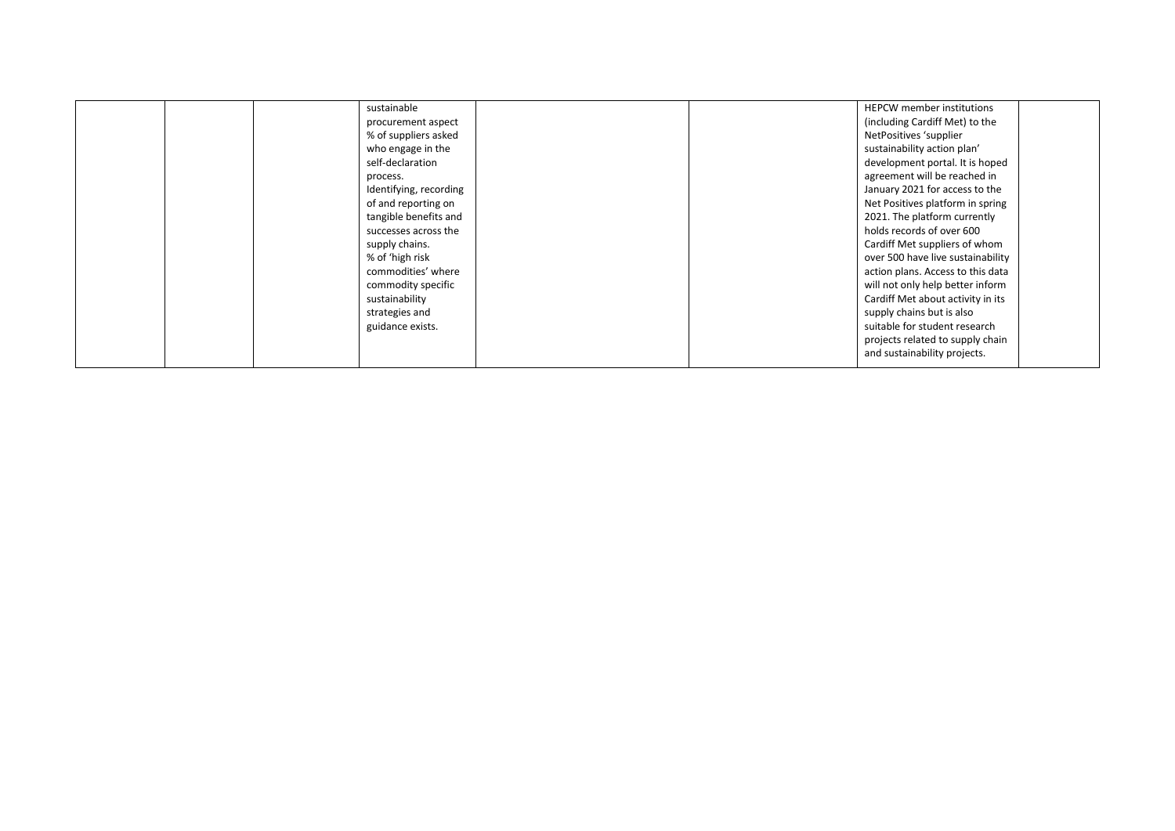|  | sustainable            |  | <b>HEPCW</b> member institutions  |  |
|--|------------------------|--|-----------------------------------|--|
|  | procurement aspect     |  | (including Cardiff Met) to the    |  |
|  | % of suppliers asked   |  | NetPositives 'supplier            |  |
|  | who engage in the      |  | sustainability action plan'       |  |
|  | self-declaration       |  | development portal. It is hoped   |  |
|  | process.               |  | agreement will be reached in      |  |
|  | Identifying, recording |  | January 2021 for access to the    |  |
|  | of and reporting on    |  | Net Positives platform in spring  |  |
|  | tangible benefits and  |  | 2021. The platform currently      |  |
|  | successes across the   |  | holds records of over 600         |  |
|  | supply chains.         |  | Cardiff Met suppliers of whom     |  |
|  | % of 'high risk        |  | over 500 have live sustainability |  |
|  | commodities' where     |  | action plans. Access to this data |  |
|  | commodity specific     |  | will not only help better inform  |  |
|  | sustainability         |  | Cardiff Met about activity in its |  |
|  | strategies and         |  | supply chains but is also         |  |
|  | guidance exists.       |  | suitable for student research     |  |
|  |                        |  | projects related to supply chain  |  |
|  |                        |  | and sustainability projects.      |  |
|  |                        |  |                                   |  |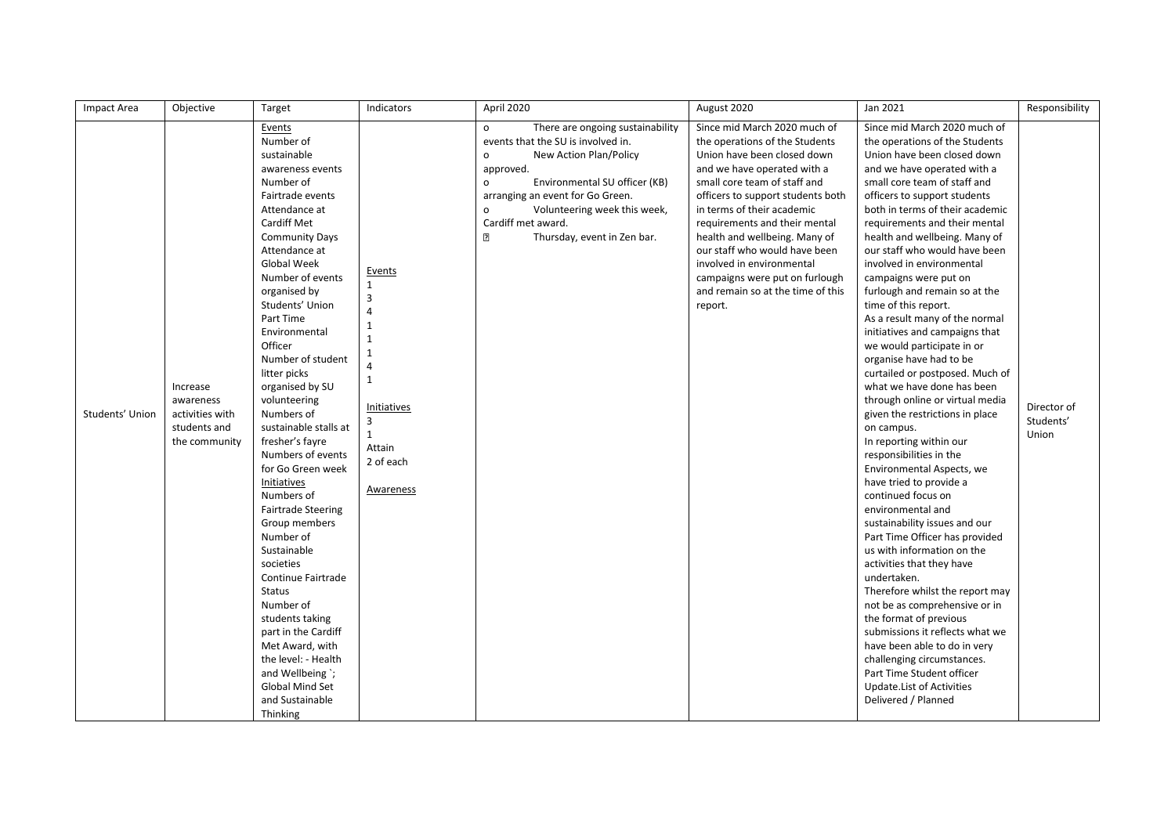| Impact Area     | Objective                                                                 | Target                                                                                                                                                                                                                                                                                                                                                                                                                                                                                                                                                                                                                                                                                                                                                                                  | Indicators                                                                                                                                                                          | April 2020                                                                                                                                                                                                                                                                                                    | August 2020                                                                                                                                                                                                                                                                                                                                                                                                                                       | Jan 2021                                                                                                                                                                                                                                                                                                                                                                                                                                                                                                                                                                                                                                                                                                                                                                                                                                                                                                                                                                                                                                                                                                                                                                                                                                                                                                                   | Responsibility                    |
|-----------------|---------------------------------------------------------------------------|-----------------------------------------------------------------------------------------------------------------------------------------------------------------------------------------------------------------------------------------------------------------------------------------------------------------------------------------------------------------------------------------------------------------------------------------------------------------------------------------------------------------------------------------------------------------------------------------------------------------------------------------------------------------------------------------------------------------------------------------------------------------------------------------|-------------------------------------------------------------------------------------------------------------------------------------------------------------------------------------|---------------------------------------------------------------------------------------------------------------------------------------------------------------------------------------------------------------------------------------------------------------------------------------------------------------|---------------------------------------------------------------------------------------------------------------------------------------------------------------------------------------------------------------------------------------------------------------------------------------------------------------------------------------------------------------------------------------------------------------------------------------------------|----------------------------------------------------------------------------------------------------------------------------------------------------------------------------------------------------------------------------------------------------------------------------------------------------------------------------------------------------------------------------------------------------------------------------------------------------------------------------------------------------------------------------------------------------------------------------------------------------------------------------------------------------------------------------------------------------------------------------------------------------------------------------------------------------------------------------------------------------------------------------------------------------------------------------------------------------------------------------------------------------------------------------------------------------------------------------------------------------------------------------------------------------------------------------------------------------------------------------------------------------------------------------------------------------------------------------|-----------------------------------|
| Students' Union | Increase<br>awareness<br>activities with<br>students and<br>the community | Events<br>Number of<br>sustainable<br>awareness events<br>Number of<br>Fairtrade events<br>Attendance at<br>Cardiff Met<br><b>Community Days</b><br>Attendance at<br>Global Week<br>Number of events<br>organised by<br>Students' Union<br>Part Time<br>Environmental<br>Officer<br>Number of student<br>litter picks<br>organised by SU<br>volunteering<br>Numbers of<br>sustainable stalls at<br>fresher's fayre<br>Numbers of events<br>for Go Green week<br>Initiatives<br>Numbers of<br><b>Fairtrade Steering</b><br>Group members<br>Number of<br>Sustainable<br>societies<br>Continue Fairtrade<br>Status<br>Number of<br>students taking<br>part in the Cardiff<br>Met Award, with<br>the level: - Health<br>and Wellbeing `;<br>Global Mind Set<br>and Sustainable<br>Thinking | Events<br>$\mathbf{1}$<br>3<br>$\overline{\mathbf{A}}$<br>$\mathbf{1}$<br>$\mathbf{1}$<br>$\mathbf{1}$<br>4<br>$\mathbf{1}$<br>Initiatives<br>3<br>Attain<br>2 of each<br>Awareness | There are ongoing sustainability<br>o<br>events that the SU is involved in.<br>New Action Plan/Policy<br>o<br>approved.<br>Environmental SU officer (KB)<br>o<br>arranging an event for Go Green.<br>Volunteering week this week,<br>o<br>Cardiff met award.<br>$\overline{2}$<br>Thursday, event in Zen bar. | Since mid March 2020 much of<br>the operations of the Students<br>Union have been closed down<br>and we have operated with a<br>small core team of staff and<br>officers to support students both<br>in terms of their academic<br>requirements and their mental<br>health and wellbeing. Many of<br>our staff who would have been<br>involved in environmental<br>campaigns were put on furlough<br>and remain so at the time of this<br>report. | Since mid March 2020 much of<br>the operations of the Students<br>Union have been closed down<br>and we have operated with a<br>small core team of staff and<br>officers to support students<br>both in terms of their academic<br>requirements and their mental<br>health and wellbeing. Many of<br>our staff who would have been<br>involved in environmental<br>campaigns were put on<br>furlough and remain so at the<br>time of this report.<br>As a result many of the normal<br>initiatives and campaigns that<br>we would participate in or<br>organise have had to be<br>curtailed or postposed. Much of<br>what we have done has been<br>through online or virtual media<br>given the restrictions in place<br>on campus.<br>In reporting within our<br>responsibilities in the<br>Environmental Aspects, we<br>have tried to provide a<br>continued focus on<br>environmental and<br>sustainability issues and our<br>Part Time Officer has provided<br>us with information on the<br>activities that they have<br>undertaken.<br>Therefore whilst the report may<br>not be as comprehensive or in<br>the format of previous<br>submissions it reflects what we<br>have been able to do in very<br>challenging circumstances.<br>Part Time Student officer<br>Update. List of Activities<br>Delivered / Planned | Director of<br>Students'<br>Union |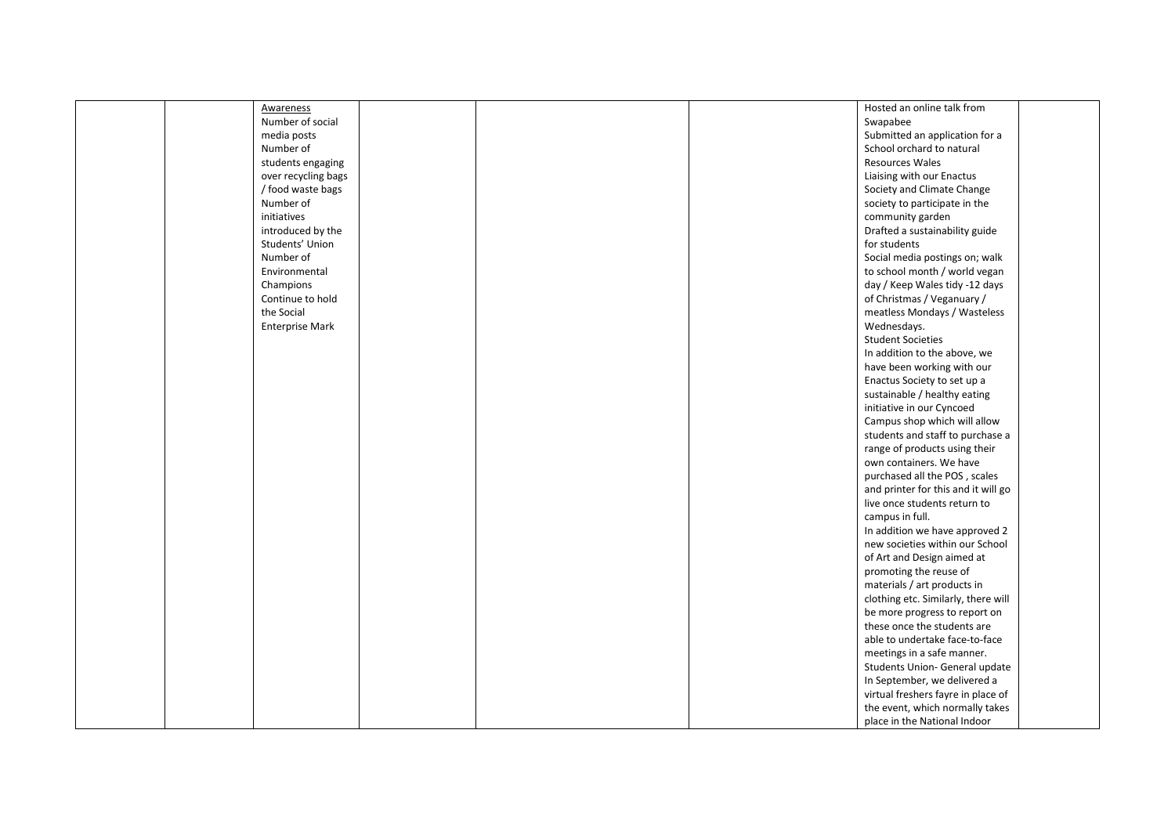| Awareness              | Hosted an online talk from          |  |
|------------------------|-------------------------------------|--|
| Number of social       | Swapabee                            |  |
| media posts            | Submitted an application for a      |  |
| Number of              | School orchard to natural           |  |
| students engaging      | Resources Wales                     |  |
| over recycling bags    | Liaising with our Enactus           |  |
| / food waste bags      | Society and Climate Change          |  |
| Number of              | society to participate in the       |  |
| initiatives            | community garden                    |  |
| introduced by the      | Drafted a sustainability guide      |  |
| Students' Union        | for students                        |  |
| Number of              | Social media postings on; walk      |  |
| Environmental          | to school month / world vegan       |  |
| Champions              | day / Keep Wales tidy -12 days      |  |
| Continue to hold       | of Christmas / Veganuary /          |  |
| the Social             | meatless Mondays / Wasteless        |  |
|                        |                                     |  |
| <b>Enterprise Mark</b> | Wednesdays.                         |  |
|                        | <b>Student Societies</b>            |  |
|                        | In addition to the above, we        |  |
|                        | have been working with our          |  |
|                        | Enactus Society to set up a         |  |
|                        | sustainable / healthy eating        |  |
|                        | initiative in our Cyncoed           |  |
|                        | Campus shop which will allow        |  |
|                        | students and staff to purchase a    |  |
|                        | range of products using their       |  |
|                        | own containers. We have             |  |
|                        | purchased all the POS, scales       |  |
|                        | and printer for this and it will go |  |
|                        | live once students return to        |  |
|                        | campus in full.                     |  |
|                        | In addition we have approved 2      |  |
|                        | new societies within our School     |  |
|                        | of Art and Design aimed at          |  |
|                        | promoting the reuse of              |  |
|                        | materials / art products in         |  |
|                        | clothing etc. Similarly, there will |  |
|                        | be more progress to report on       |  |
|                        | these once the students are         |  |
|                        | able to undertake face-to-face      |  |
|                        | meetings in a safe manner.          |  |
|                        |                                     |  |
|                        | Students Union- General update      |  |
|                        | In September, we delivered a        |  |
|                        | virtual freshers fayre in place of  |  |
|                        | the event, which normally takes     |  |
|                        | place in the National Indoor        |  |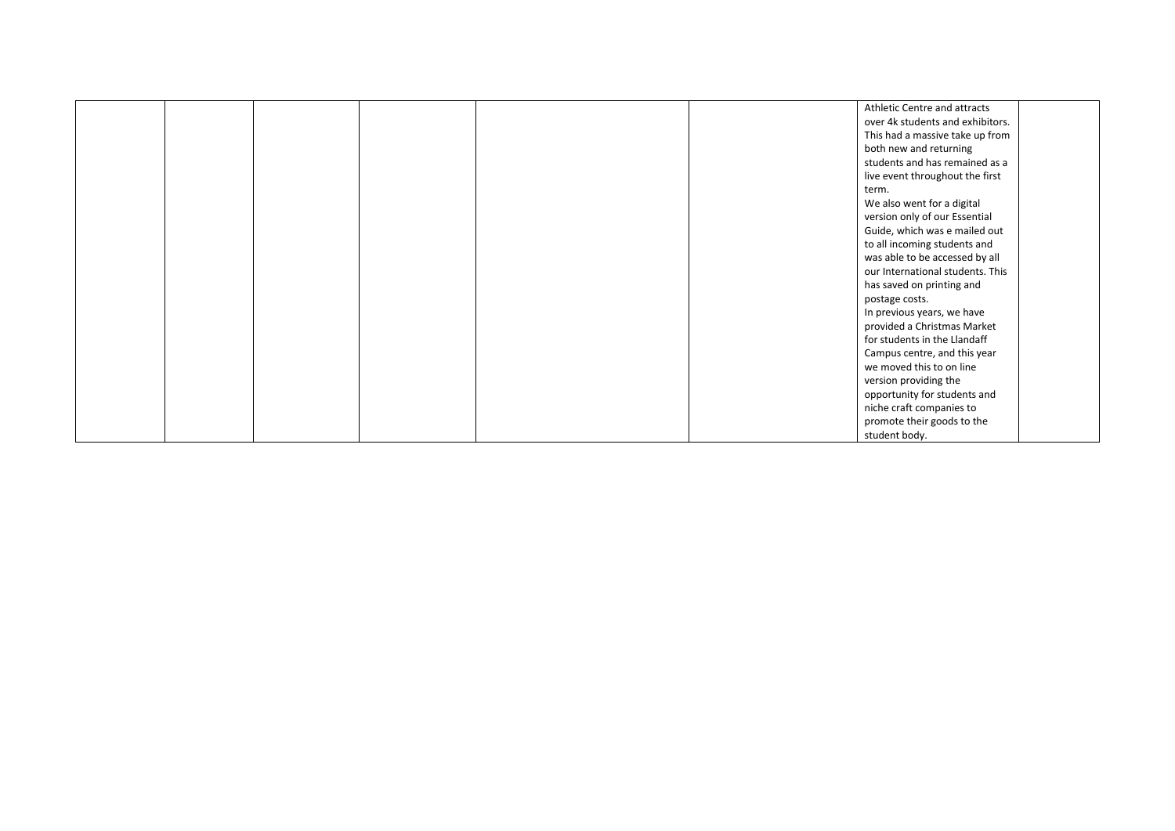|  |  |  | Athletic Centre and attracts     |  |
|--|--|--|----------------------------------|--|
|  |  |  | over 4k students and exhibitors. |  |
|  |  |  | This had a massive take up from  |  |
|  |  |  | both new and returning           |  |
|  |  |  | students and has remained as a   |  |
|  |  |  | live event throughout the first  |  |
|  |  |  | term.                            |  |
|  |  |  | We also went for a digital       |  |
|  |  |  | version only of our Essential    |  |
|  |  |  | Guide, which was e mailed out    |  |
|  |  |  | to all incoming students and     |  |
|  |  |  | was able to be accessed by all   |  |
|  |  |  | our International students. This |  |
|  |  |  | has saved on printing and        |  |
|  |  |  | postage costs.                   |  |
|  |  |  | In previous years, we have       |  |
|  |  |  | provided a Christmas Market      |  |
|  |  |  | for students in the Llandaff     |  |
|  |  |  | Campus centre, and this year     |  |
|  |  |  | we moved this to on line         |  |
|  |  |  | version providing the            |  |
|  |  |  | opportunity for students and     |  |
|  |  |  | niche craft companies to         |  |
|  |  |  | promote their goods to the       |  |
|  |  |  | student body.                    |  |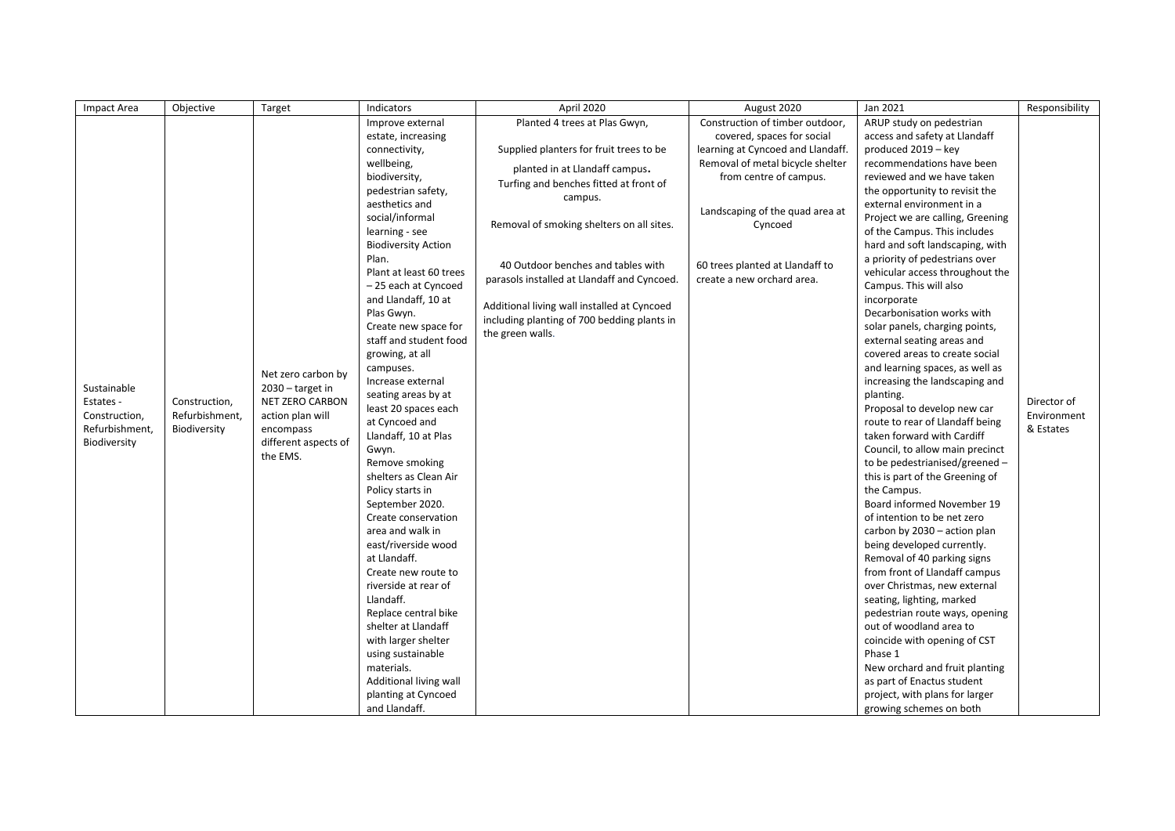| <b>Impact Area</b> | Objective      | Target                                                      | Indicators                                           | April 2020                                  | August 2020                       | Jan 2021                                                       | Responsibility |
|--------------------|----------------|-------------------------------------------------------------|------------------------------------------------------|---------------------------------------------|-----------------------------------|----------------------------------------------------------------|----------------|
|                    |                |                                                             | Improve external                                     | Planted 4 trees at Plas Gwyn,               | Construction of timber outdoor,   | ARUP study on pedestrian                                       |                |
|                    |                |                                                             | estate, increasing                                   |                                             | covered, spaces for social        | access and safety at Llandaff                                  |                |
|                    |                |                                                             | connectivity,                                        | Supplied planters for fruit trees to be     | learning at Cyncoed and Llandaff. | produced 2019 - key                                            |                |
|                    |                |                                                             | wellbeing,                                           | planted in at Llandaff campus.              | Removal of metal bicycle shelter  | recommendations have been                                      |                |
|                    |                |                                                             | biodiversity,                                        | Turfing and benches fitted at front of      | from centre of campus.            | reviewed and we have taken                                     |                |
|                    |                |                                                             | pedestrian safety,                                   | campus.                                     |                                   | the opportunity to revisit the                                 |                |
|                    |                |                                                             | aesthetics and                                       |                                             | Landscaping of the quad area at   | external environment in a                                      |                |
|                    |                |                                                             | social/informal                                      | Removal of smoking shelters on all sites.   | Cyncoed                           | Project we are calling, Greening                               |                |
|                    |                |                                                             | learning - see                                       |                                             |                                   | of the Campus. This includes                                   |                |
|                    |                |                                                             | <b>Biodiversity Action</b>                           |                                             |                                   | hard and soft landscaping, with                                |                |
|                    |                |                                                             | Plan.                                                | 40 Outdoor benches and tables with          | 60 trees planted at Llandaff to   | a priority of pedestrians over                                 |                |
|                    |                |                                                             | Plant at least 60 trees                              | parasols installed at Llandaff and Cyncoed. | create a new orchard area.        | vehicular access throughout the                                |                |
|                    |                |                                                             | -25 each at Cyncoed                                  |                                             |                                   | Campus. This will also                                         |                |
|                    |                |                                                             | and Llandaff, 10 at                                  | Additional living wall installed at Cyncoed |                                   | incorporate                                                    |                |
|                    |                |                                                             | Plas Gwyn.                                           | including planting of 700 bedding plants in |                                   | Decarbonisation works with                                     |                |
|                    |                |                                                             | Create new space for                                 | the green walls.                            |                                   | solar panels, charging points,                                 |                |
|                    |                |                                                             | staff and student food<br>external seating areas and |                                             |                                   |                                                                |                |
|                    |                |                                                             | growing, at all                                      |                                             |                                   | covered areas to create social                                 |                |
|                    |                | Net zero carbon by<br>$2030 -$ target in<br>NET ZERO CARBON | campuses.                                            |                                             |                                   | and learning spaces, as well as                                |                |
| Sustainable        |                |                                                             | Increase external                                    |                                             |                                   | increasing the landscaping and                                 |                |
| Estates -          | Construction,  |                                                             | seating areas by at                                  |                                             |                                   | planting.                                                      | Director of    |
| Construction,      | Refurbishment, | action plan will                                            | least 20 spaces each<br>at Cyncoed and               |                                             |                                   | Proposal to develop new car<br>route to rear of Llandaff being | Environment    |
| Refurbishment,     | Biodiversity   | encompass                                                   | Llandaff, 10 at Plas                                 |                                             |                                   | taken forward with Cardiff                                     | & Estates      |
| Biodiversity       |                | different aspects of                                        | Gwyn.                                                |                                             |                                   | Council, to allow main precinct                                |                |
|                    |                | the EMS.                                                    | Remove smoking                                       |                                             |                                   | to be pedestrianised/greened -                                 |                |
|                    |                |                                                             | shelters as Clean Air                                |                                             |                                   | this is part of the Greening of                                |                |
|                    |                |                                                             | Policy starts in                                     |                                             |                                   | the Campus.                                                    |                |
|                    |                |                                                             | September 2020.                                      |                                             |                                   | Board informed November 19                                     |                |
|                    |                |                                                             | Create conservation                                  |                                             |                                   | of intention to be net zero                                    |                |
|                    |                |                                                             | area and walk in                                     | carbon by 2030 - action plan                |                                   |                                                                |                |
|                    |                |                                                             | east/riverside wood                                  |                                             |                                   | being developed currently.                                     |                |
|                    |                |                                                             | at Llandaff.                                         |                                             |                                   | Removal of 40 parking signs                                    |                |
|                    |                |                                                             | Create new route to                                  |                                             |                                   | from front of Llandaff campus                                  |                |
|                    |                |                                                             | riverside at rear of                                 |                                             |                                   | over Christmas, new external                                   |                |
|                    |                |                                                             | Llandaff.                                            |                                             |                                   | seating, lighting, marked                                      |                |
|                    |                |                                                             | Replace central bike                                 |                                             |                                   | pedestrian route ways, opening                                 |                |
|                    |                |                                                             | shelter at Llandaff                                  |                                             |                                   | out of woodland area to                                        |                |
|                    |                |                                                             | with larger shelter                                  |                                             |                                   | coincide with opening of CST                                   |                |
|                    |                |                                                             | using sustainable                                    |                                             |                                   | Phase 1                                                        |                |
|                    |                |                                                             | materials.                                           |                                             |                                   | New orchard and fruit planting                                 |                |
|                    |                |                                                             | Additional living wall                               |                                             |                                   | as part of Enactus student                                     |                |
|                    |                |                                                             | planting at Cyncoed                                  |                                             |                                   | project, with plans for larger                                 |                |
|                    |                |                                                             | and Llandaff.                                        |                                             |                                   | growing schemes on both                                        |                |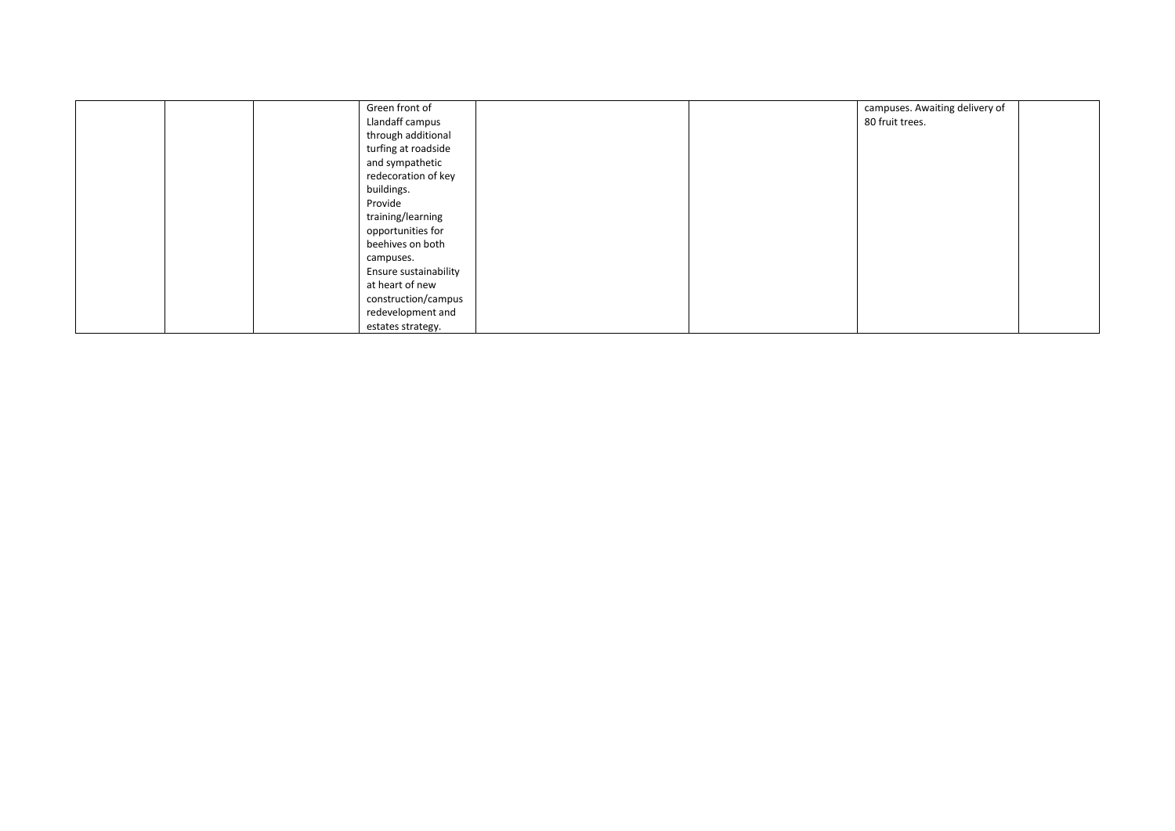| Green front of        |  | campuses. Awaiting delivery of |  |
|-----------------------|--|--------------------------------|--|
| Llandaff campus       |  | 80 fruit trees.                |  |
| through additional    |  |                                |  |
| turfing at roadside   |  |                                |  |
| and sympathetic       |  |                                |  |
| redecoration of key   |  |                                |  |
| buildings.            |  |                                |  |
| Provide               |  |                                |  |
| training/learning     |  |                                |  |
| opportunities for     |  |                                |  |
| beehives on both      |  |                                |  |
| campuses.             |  |                                |  |
| Ensure sustainability |  |                                |  |
| at heart of new       |  |                                |  |
| construction/campus   |  |                                |  |
| redevelopment and     |  |                                |  |
| estates strategy.     |  |                                |  |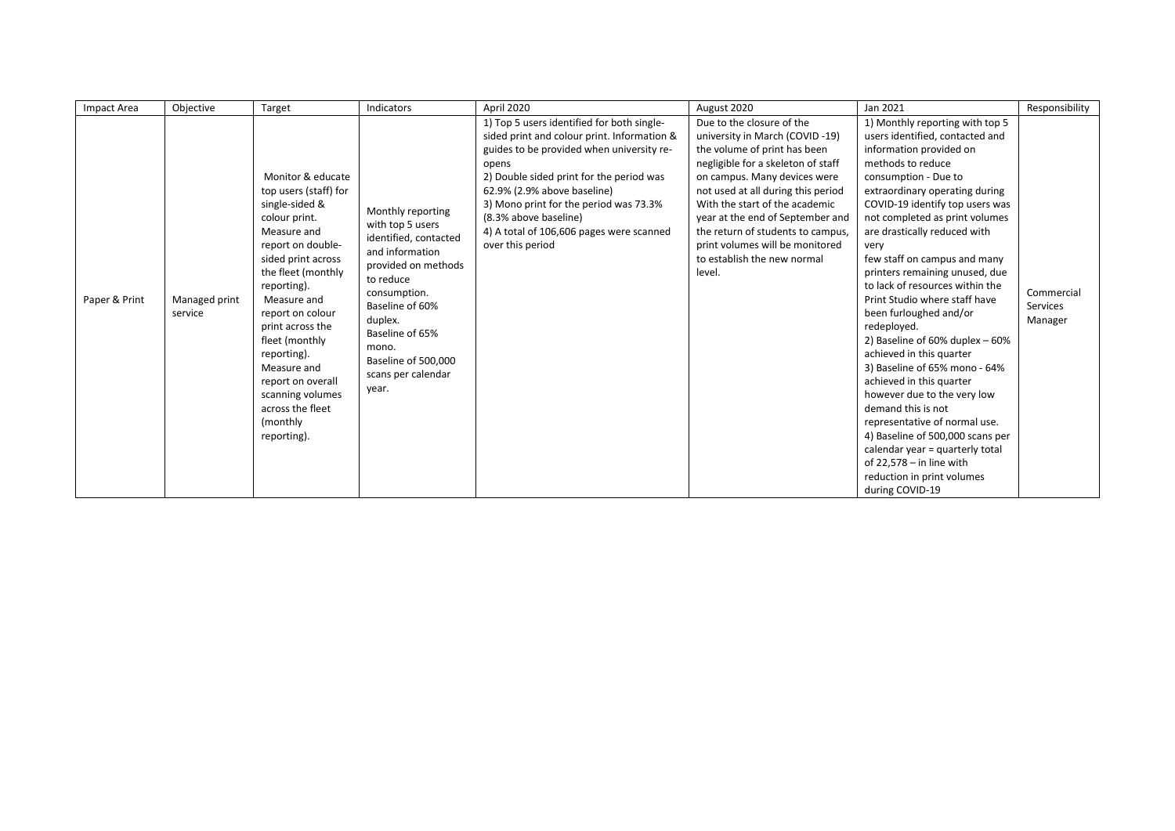| Impact Area   | Objective                | Target                                                                                                                                                                                                                                                                                                                                                                      | Indicators                                                                                                                                                                                                                                            | April 2020                                                                                                                                                                                                                                                                                                                                                    | August 2020                                                                                                                                                                                                                                                                                                                                                                                    | Jan 2021                                                                                                                                                                                                                                                                                                                                                                                                                                                                                                                                                                                                                                                                                                                                                                                                                                              | Responsibility                    |
|---------------|--------------------------|-----------------------------------------------------------------------------------------------------------------------------------------------------------------------------------------------------------------------------------------------------------------------------------------------------------------------------------------------------------------------------|-------------------------------------------------------------------------------------------------------------------------------------------------------------------------------------------------------------------------------------------------------|---------------------------------------------------------------------------------------------------------------------------------------------------------------------------------------------------------------------------------------------------------------------------------------------------------------------------------------------------------------|------------------------------------------------------------------------------------------------------------------------------------------------------------------------------------------------------------------------------------------------------------------------------------------------------------------------------------------------------------------------------------------------|-------------------------------------------------------------------------------------------------------------------------------------------------------------------------------------------------------------------------------------------------------------------------------------------------------------------------------------------------------------------------------------------------------------------------------------------------------------------------------------------------------------------------------------------------------------------------------------------------------------------------------------------------------------------------------------------------------------------------------------------------------------------------------------------------------------------------------------------------------|-----------------------------------|
| Paper & Print | Managed print<br>service | Monitor & educate<br>top users (staff) for<br>single-sided &<br>colour print.<br>Measure and<br>report on double-<br>sided print across<br>the fleet (monthly<br>reporting).<br>Measure and<br>report on colour<br>print across the<br>fleet (monthly<br>reporting).<br>Measure and<br>report on overall<br>scanning volumes<br>across the fleet<br>(monthly<br>reporting). | Monthly reporting<br>with top 5 users<br>identified, contacted<br>and information<br>provided on methods<br>to reduce<br>consumption.<br>Baseline of 60%<br>duplex.<br>Baseline of 65%<br>mono.<br>Baseline of 500,000<br>scans per calendar<br>year. | 1) Top 5 users identified for both single-<br>sided print and colour print. Information &<br>guides to be provided when university re-<br>opens<br>2) Double sided print for the period was<br>62.9% (2.9% above baseline)<br>3) Mono print for the period was 73.3%<br>(8.3% above baseline)<br>4) A total of 106,606 pages were scanned<br>over this period | Due to the closure of the<br>university in March (COVID-19)<br>the volume of print has been<br>negligible for a skeleton of staff<br>on campus. Many devices were<br>not used at all during this period<br>With the start of the academic<br>year at the end of September and<br>the return of students to campus,<br>print volumes will be monitored<br>to establish the new normal<br>level. | 1) Monthly reporting with top 5<br>users identified, contacted and<br>information provided on<br>methods to reduce<br>consumption - Due to<br>extraordinary operating during<br>COVID-19 identify top users was<br>not completed as print volumes<br>are drastically reduced with<br>very<br>few staff on campus and many<br>printers remaining unused, due<br>to lack of resources within the<br>Print Studio where staff have<br>been furloughed and/or<br>redeployed.<br>2) Baseline of $60\%$ duplex $-60\%$<br>achieved in this quarter<br>3) Baseline of 65% mono - 64%<br>achieved in this quarter<br>however due to the very low<br>demand this is not<br>representative of normal use.<br>4) Baseline of 500,000 scans per<br>calendar year = quarterly total<br>of $22,578 -$ in line with<br>reduction in print volumes<br>during COVID-19 | Commercial<br>Services<br>Manager |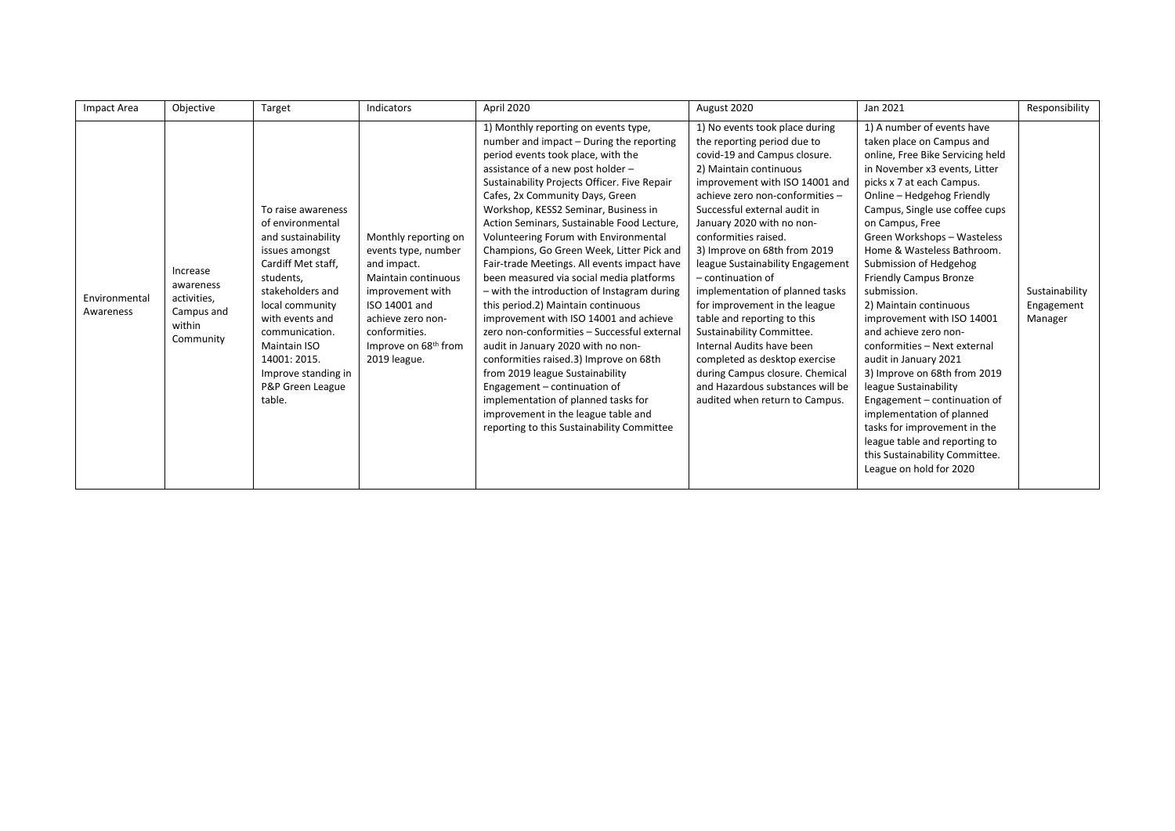| Impact Area                | Objective                                                                 | Target                                                                                                                                                                                                                                                                                    | Indicators                                                                                                                                                                                                              | April 2020                                                                                                                                                                                                                                                                                                                                                                                                                                                                                                                                                                                                                                                                                                                                                                                                                                                                                                                                                                         | August 2020                                                                                                                                                                                                                                                                                                                                                                                                                                                                                                                                                                                                                                                                       | Jan 2021                                                                                                                                                                                                                                                                                                                                                                                                                                                                                                                                                                                                                                                                                                                                                                          | Responsibility                          |
|----------------------------|---------------------------------------------------------------------------|-------------------------------------------------------------------------------------------------------------------------------------------------------------------------------------------------------------------------------------------------------------------------------------------|-------------------------------------------------------------------------------------------------------------------------------------------------------------------------------------------------------------------------|------------------------------------------------------------------------------------------------------------------------------------------------------------------------------------------------------------------------------------------------------------------------------------------------------------------------------------------------------------------------------------------------------------------------------------------------------------------------------------------------------------------------------------------------------------------------------------------------------------------------------------------------------------------------------------------------------------------------------------------------------------------------------------------------------------------------------------------------------------------------------------------------------------------------------------------------------------------------------------|-----------------------------------------------------------------------------------------------------------------------------------------------------------------------------------------------------------------------------------------------------------------------------------------------------------------------------------------------------------------------------------------------------------------------------------------------------------------------------------------------------------------------------------------------------------------------------------------------------------------------------------------------------------------------------------|-----------------------------------------------------------------------------------------------------------------------------------------------------------------------------------------------------------------------------------------------------------------------------------------------------------------------------------------------------------------------------------------------------------------------------------------------------------------------------------------------------------------------------------------------------------------------------------------------------------------------------------------------------------------------------------------------------------------------------------------------------------------------------------|-----------------------------------------|
| Environmental<br>Awareness | Increase<br>awareness<br>activities,<br>Campus and<br>within<br>Community | To raise awareness<br>of environmental<br>and sustainability<br>issues amongst<br>Cardiff Met staff,<br>students,<br>stakeholders and<br>local community<br>with events and<br>communication.<br><b>Maintain ISO</b><br>14001: 2015.<br>Improve standing in<br>P&P Green League<br>table. | Monthly reporting on<br>events type, number<br>and impact.<br><b>Maintain continuous</b><br>improvement with<br>ISO 14001 and<br>achieve zero non-<br>conformities.<br>Improve on 68 <sup>th</sup> from<br>2019 league. | 1) Monthly reporting on events type,<br>number and impact - During the reporting<br>period events took place, with the<br>assistance of a new post holder -<br>Sustainability Projects Officer. Five Repair<br>Cafes, 2x Community Days, Green<br>Workshop, KESS2 Seminar, Business in<br>Action Seminars, Sustainable Food Lecture,<br>Volunteering Forum with Environmental<br>Champions, Go Green Week, Litter Pick and<br>Fair-trade Meetings. All events impact have<br>been measured via social media platforms<br>- with the introduction of Instagram during<br>this period.2) Maintain continuous<br>improvement with ISO 14001 and achieve<br>zero non-conformities - Successful external<br>audit in January 2020 with no non-<br>conformities raised.3) Improve on 68th<br>from 2019 league Sustainability<br>Engagement - continuation of<br>implementation of planned tasks for<br>improvement in the league table and<br>reporting to this Sustainability Committee | 1) No events took place during<br>the reporting period due to<br>covid-19 and Campus closure.<br>2) Maintain continuous<br>improvement with ISO 14001 and<br>achieve zero non-conformities -<br>Successful external audit in<br>January 2020 with no non-<br>conformities raised.<br>3) Improve on 68th from 2019<br>league Sustainability Engagement<br>- continuation of<br>implementation of planned tasks<br>for improvement in the league<br>table and reporting to this<br>Sustainability Committee.<br>Internal Audits have been<br>completed as desktop exercise<br>during Campus closure. Chemical<br>and Hazardous substances will be<br>audited when return to Campus. | 1) A number of events have<br>taken place on Campus and<br>online, Free Bike Servicing held<br>in November x3 events, Litter<br>picks x 7 at each Campus.<br>Online - Hedgehog Friendly<br>Campus, Single use coffee cups<br>on Campus, Free<br>Green Workshops - Wasteless<br>Home & Wasteless Bathroom.<br>Submission of Hedgehog<br><b>Friendly Campus Bronze</b><br>submission.<br>2) Maintain continuous<br>improvement with ISO 14001<br>and achieve zero non-<br>conformities - Next external<br>audit in January 2021<br>3) Improve on 68th from 2019<br>league Sustainability<br>Engagement - continuation of<br>implementation of planned<br>tasks for improvement in the<br>league table and reporting to<br>this Sustainability Committee.<br>League on hold for 2020 | Sustainability<br>Engagement<br>Manager |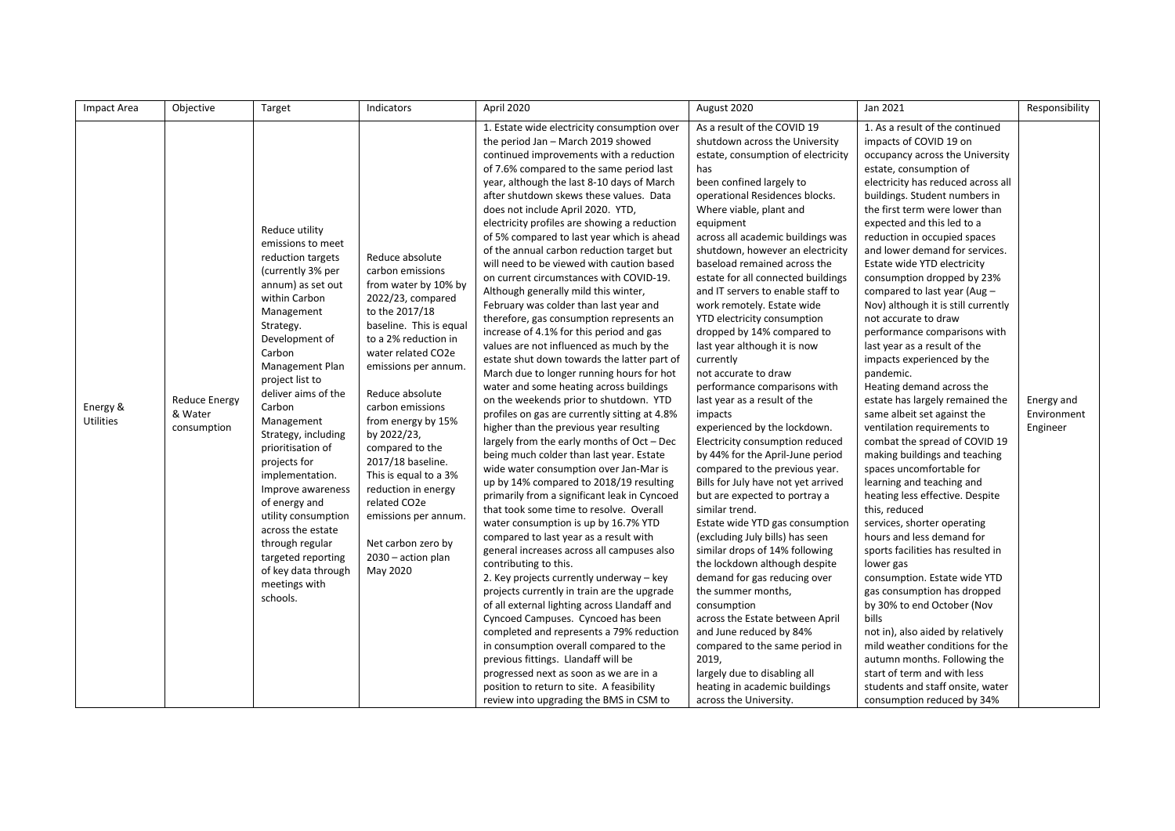| Impact Area                  | Objective                                      | Target                                                                                                                                                                                                                                                                                                                                                                                                                                                                                                                        | Indicators                                                                                                                                                                                                                                                                                                                                                                                                                                                                | April 2020                                                                                                                                                                                                                                                                                                                                                                                                                                                                                                                                                                                                                                                                                                                                                                                                                                                                                                                                                                                                                                                                                                                                                                                                                                                                                                                                                                                                                                                                                                                                                                                                                                                                                                                                                                                                                                                                                                                      | August 2020                                                                                                                                                                                                                                                                                                                                                                                                                                                                                                                                                                                                                                                                                                                                                                                                                                                                                                                                                                                                                                                                                                                                                                                                                                                                                          | Jan 2021                                                                                                                                                                                                                                                                                                                                                                                                                                                                                                                                                                                                                                                                                                                                                                                                                                                                                                                                                                                                                                                                                                                                                                                                                                                                                                                                         | Responsibility                        |
|------------------------------|------------------------------------------------|-------------------------------------------------------------------------------------------------------------------------------------------------------------------------------------------------------------------------------------------------------------------------------------------------------------------------------------------------------------------------------------------------------------------------------------------------------------------------------------------------------------------------------|---------------------------------------------------------------------------------------------------------------------------------------------------------------------------------------------------------------------------------------------------------------------------------------------------------------------------------------------------------------------------------------------------------------------------------------------------------------------------|---------------------------------------------------------------------------------------------------------------------------------------------------------------------------------------------------------------------------------------------------------------------------------------------------------------------------------------------------------------------------------------------------------------------------------------------------------------------------------------------------------------------------------------------------------------------------------------------------------------------------------------------------------------------------------------------------------------------------------------------------------------------------------------------------------------------------------------------------------------------------------------------------------------------------------------------------------------------------------------------------------------------------------------------------------------------------------------------------------------------------------------------------------------------------------------------------------------------------------------------------------------------------------------------------------------------------------------------------------------------------------------------------------------------------------------------------------------------------------------------------------------------------------------------------------------------------------------------------------------------------------------------------------------------------------------------------------------------------------------------------------------------------------------------------------------------------------------------------------------------------------------------------------------------------------|------------------------------------------------------------------------------------------------------------------------------------------------------------------------------------------------------------------------------------------------------------------------------------------------------------------------------------------------------------------------------------------------------------------------------------------------------------------------------------------------------------------------------------------------------------------------------------------------------------------------------------------------------------------------------------------------------------------------------------------------------------------------------------------------------------------------------------------------------------------------------------------------------------------------------------------------------------------------------------------------------------------------------------------------------------------------------------------------------------------------------------------------------------------------------------------------------------------------------------------------------------------------------------------------------|--------------------------------------------------------------------------------------------------------------------------------------------------------------------------------------------------------------------------------------------------------------------------------------------------------------------------------------------------------------------------------------------------------------------------------------------------------------------------------------------------------------------------------------------------------------------------------------------------------------------------------------------------------------------------------------------------------------------------------------------------------------------------------------------------------------------------------------------------------------------------------------------------------------------------------------------------------------------------------------------------------------------------------------------------------------------------------------------------------------------------------------------------------------------------------------------------------------------------------------------------------------------------------------------------------------------------------------------------|---------------------------------------|
| Energy &<br><b>Utilities</b> | <b>Reduce Energy</b><br>& Water<br>consumption | Reduce utility<br>emissions to meet<br>reduction targets<br>(currently 3% per<br>annum) as set out<br>within Carbon<br>Management<br>Strategy.<br>Development of<br>Carbon<br>Management Plan<br>project list to<br>deliver aims of the<br>Carbon<br>Management<br>Strategy, including<br>prioritisation of<br>projects for<br>implementation.<br>Improve awareness<br>of energy and<br>utility consumption<br>across the estate<br>through regular<br>targeted reporting<br>of key data through<br>meetings with<br>schools. | Reduce absolute<br>carbon emissions<br>from water by 10% by<br>2022/23, compared<br>to the 2017/18<br>baseline. This is equal<br>to a 2% reduction in<br>water related CO2e<br>emissions per annum.<br>Reduce absolute<br>carbon emissions<br>from energy by 15%<br>by 2022/23,<br>compared to the<br>2017/18 baseline.<br>This is equal to a 3%<br>reduction in energy<br>related CO2e<br>emissions per annum.<br>Net carbon zero by<br>$2030 - action$ plan<br>May 2020 | 1. Estate wide electricity consumption over<br>the period Jan - March 2019 showed<br>continued improvements with a reduction<br>of 7.6% compared to the same period last<br>year, although the last 8-10 days of March<br>after shutdown skews these values. Data<br>does not include April 2020. YTD,<br>electricity profiles are showing a reduction<br>of 5% compared to last year which is ahead<br>of the annual carbon reduction target but<br>will need to be viewed with caution based<br>on current circumstances with COVID-19.<br>Although generally mild this winter,<br>February was colder than last year and<br>therefore, gas consumption represents an<br>increase of 4.1% for this period and gas<br>values are not influenced as much by the<br>estate shut down towards the latter part of<br>March due to longer running hours for hot<br>water and some heating across buildings<br>on the weekends prior to shutdown. YTD<br>profiles on gas are currently sitting at 4.8%<br>higher than the previous year resulting<br>largely from the early months of Oct - Dec<br>being much colder than last year. Estate<br>wide water consumption over Jan-Mar is<br>up by 14% compared to 2018/19 resulting<br>primarily from a significant leak in Cyncoed<br>that took some time to resolve. Overall<br>water consumption is up by 16.7% YTD<br>compared to last year as a result with<br>general increases across all campuses also<br>contributing to this.<br>2. Key projects currently underway - key<br>projects currently in train are the upgrade<br>of all external lighting across Llandaff and<br>Cyncoed Campuses. Cyncoed has been<br>completed and represents a 79% reduction<br>in consumption overall compared to the<br>previous fittings. Llandaff will be<br>progressed next as soon as we are in a<br>position to return to site. A feasibility<br>review into upgrading the BMS in CSM to | As a result of the COVID 19<br>shutdown across the University<br>estate, consumption of electricity<br>has<br>been confined largely to<br>operational Residences blocks.<br>Where viable, plant and<br>equipment<br>across all academic buildings was<br>shutdown, however an electricity<br>baseload remained across the<br>estate for all connected buildings<br>and IT servers to enable staff to<br>work remotely. Estate wide<br>YTD electricity consumption<br>dropped by 14% compared to<br>last year although it is now<br>currently<br>not accurate to draw<br>performance comparisons with<br>last year as a result of the<br>impacts<br>experienced by the lockdown.<br>Electricity consumption reduced<br>by 44% for the April-June period<br>compared to the previous year.<br>Bills for July have not yet arrived<br>but are expected to portray a<br>similar trend.<br>Estate wide YTD gas consumption<br>(excluding July bills) has seen<br>similar drops of 14% following<br>the lockdown although despite<br>demand for gas reducing over<br>the summer months,<br>consumption<br>across the Estate between April<br>and June reduced by 84%<br>compared to the same period in<br>2019,<br>largely due to disabling all<br>heating in academic buildings<br>across the University. | 1. As a result of the continued<br>impacts of COVID 19 on<br>occupancy across the University<br>estate, consumption of<br>electricity has reduced across all<br>buildings. Student numbers in<br>the first term were lower than<br>expected and this led to a<br>reduction in occupied spaces<br>and lower demand for services.<br>Estate wide YTD electricity<br>consumption dropped by 23%<br>compared to last year (Aug -<br>Nov) although it is still currently<br>not accurate to draw<br>performance comparisons with<br>last year as a result of the<br>impacts experienced by the<br>pandemic.<br>Heating demand across the<br>estate has largely remained the<br>same albeit set against the<br>ventilation requirements to<br>combat the spread of COVID 19<br>making buildings and teaching<br>spaces uncomfortable for<br>learning and teaching and<br>heating less effective. Despite<br>this, reduced<br>services, shorter operating<br>hours and less demand for<br>sports facilities has resulted in<br>lower gas<br>consumption. Estate wide YTD<br>gas consumption has dropped<br>by 30% to end October (Nov<br>bills<br>not in), also aided by relatively<br>mild weather conditions for the<br>autumn months. Following the<br>start of term and with less<br>students and staff onsite, water<br>consumption reduced by 34% | Energy and<br>Environment<br>Engineer |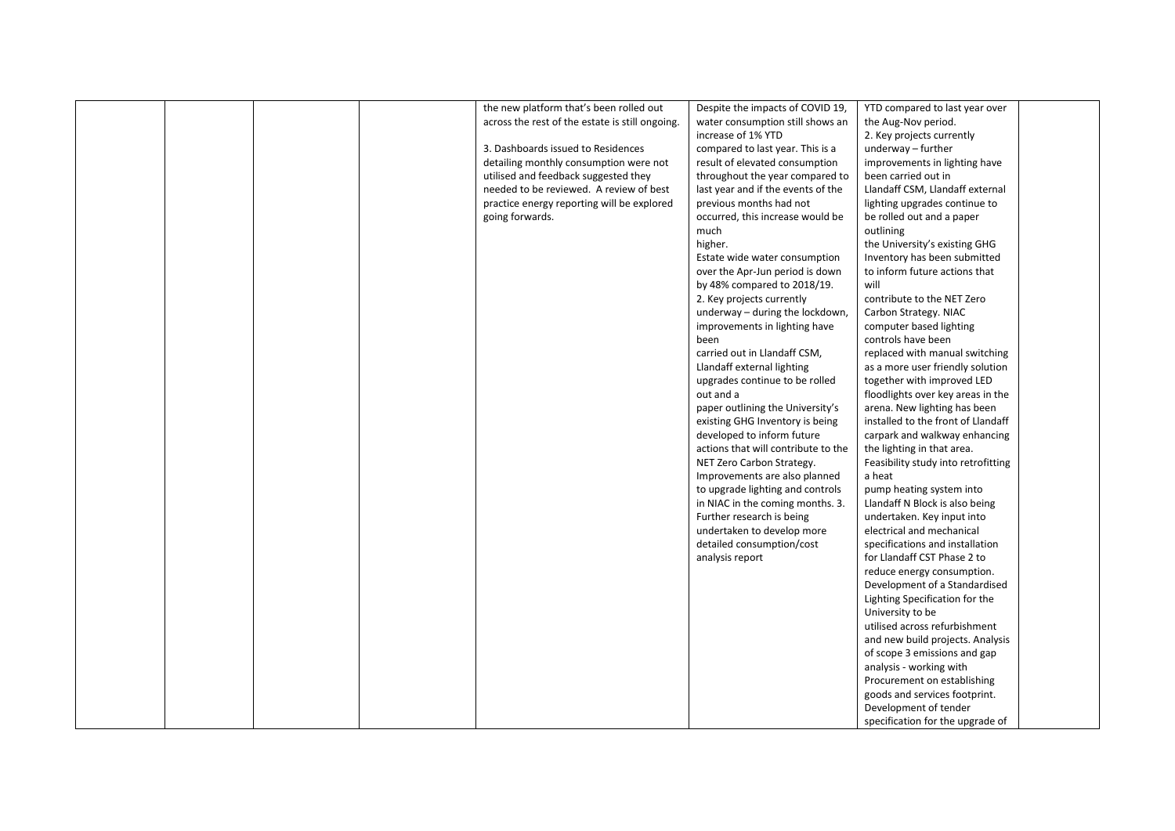| the new platform that's been rolled out<br>Despite the impacts of COVID 19,<br>YTD compared to last year over<br>across the rest of the estate is still ongoing.<br>water consumption still shows an<br>the Aug-Nov period.<br>increase of 1% YTD<br>2. Key projects currently<br>3. Dashboards issued to Residences<br>compared to last year. This is a<br>underway $-$ further |  |
|----------------------------------------------------------------------------------------------------------------------------------------------------------------------------------------------------------------------------------------------------------------------------------------------------------------------------------------------------------------------------------|--|
|                                                                                                                                                                                                                                                                                                                                                                                  |  |
|                                                                                                                                                                                                                                                                                                                                                                                  |  |
|                                                                                                                                                                                                                                                                                                                                                                                  |  |
|                                                                                                                                                                                                                                                                                                                                                                                  |  |
| detailing monthly consumption were not<br>result of elevated consumption<br>improvements in lighting have                                                                                                                                                                                                                                                                        |  |
| utilised and feedback suggested they<br>throughout the year compared to<br>been carried out in                                                                                                                                                                                                                                                                                   |  |
| needed to be reviewed. A review of best<br>last year and if the events of the<br>Llandaff CSM, Llandaff external                                                                                                                                                                                                                                                                 |  |
| practice energy reporting will be explored<br>previous months had not<br>lighting upgrades continue to                                                                                                                                                                                                                                                                           |  |
| going forwards.<br>occurred, this increase would be<br>be rolled out and a paper                                                                                                                                                                                                                                                                                                 |  |
| much<br>outlining                                                                                                                                                                                                                                                                                                                                                                |  |
| higher.<br>the University's existing GHG                                                                                                                                                                                                                                                                                                                                         |  |
| Inventory has been submitted<br>Estate wide water consumption                                                                                                                                                                                                                                                                                                                    |  |
| over the Apr-Jun period is down<br>to inform future actions that                                                                                                                                                                                                                                                                                                                 |  |
| by 48% compared to 2018/19.<br>will                                                                                                                                                                                                                                                                                                                                              |  |
|                                                                                                                                                                                                                                                                                                                                                                                  |  |
| 2. Key projects currently<br>contribute to the NET Zero                                                                                                                                                                                                                                                                                                                          |  |
| underway - during the lockdown,<br>Carbon Strategy. NIAC                                                                                                                                                                                                                                                                                                                         |  |
| improvements in lighting have<br>computer based lighting                                                                                                                                                                                                                                                                                                                         |  |
| controls have been<br>been                                                                                                                                                                                                                                                                                                                                                       |  |
| carried out in Llandaff CSM,<br>replaced with manual switching                                                                                                                                                                                                                                                                                                                   |  |
| Llandaff external lighting<br>as a more user friendly solution                                                                                                                                                                                                                                                                                                                   |  |
| together with improved LED<br>upgrades continue to be rolled                                                                                                                                                                                                                                                                                                                     |  |
| out and a<br>floodlights over key areas in the                                                                                                                                                                                                                                                                                                                                   |  |
| paper outlining the University's<br>arena. New lighting has been                                                                                                                                                                                                                                                                                                                 |  |
| installed to the front of Llandaff<br>existing GHG Inventory is being                                                                                                                                                                                                                                                                                                            |  |
| developed to inform future<br>carpark and walkway enhancing                                                                                                                                                                                                                                                                                                                      |  |
| actions that will contribute to the<br>the lighting in that area.                                                                                                                                                                                                                                                                                                                |  |
| NET Zero Carbon Strategy.<br>Feasibility study into retrofitting                                                                                                                                                                                                                                                                                                                 |  |
| Improvements are also planned<br>a heat                                                                                                                                                                                                                                                                                                                                          |  |
| pump heating system into<br>to upgrade lighting and controls                                                                                                                                                                                                                                                                                                                     |  |
| in NIAC in the coming months. 3.<br>Llandaff N Block is also being                                                                                                                                                                                                                                                                                                               |  |
| Further research is being<br>undertaken. Key input into                                                                                                                                                                                                                                                                                                                          |  |
| electrical and mechanical<br>undertaken to develop more                                                                                                                                                                                                                                                                                                                          |  |
| detailed consumption/cost<br>specifications and installation                                                                                                                                                                                                                                                                                                                     |  |
|                                                                                                                                                                                                                                                                                                                                                                                  |  |
| for Llandaff CST Phase 2 to<br>analysis report                                                                                                                                                                                                                                                                                                                                   |  |
| reduce energy consumption.                                                                                                                                                                                                                                                                                                                                                       |  |
| Development of a Standardised                                                                                                                                                                                                                                                                                                                                                    |  |
| Lighting Specification for the                                                                                                                                                                                                                                                                                                                                                   |  |
| University to be                                                                                                                                                                                                                                                                                                                                                                 |  |
| utilised across refurbishment                                                                                                                                                                                                                                                                                                                                                    |  |
| and new build projects. Analysis                                                                                                                                                                                                                                                                                                                                                 |  |
| of scope 3 emissions and gap                                                                                                                                                                                                                                                                                                                                                     |  |
| analysis - working with                                                                                                                                                                                                                                                                                                                                                          |  |
| Procurement on establishing                                                                                                                                                                                                                                                                                                                                                      |  |
| goods and services footprint.                                                                                                                                                                                                                                                                                                                                                    |  |
| Development of tender                                                                                                                                                                                                                                                                                                                                                            |  |
| specification for the upgrade of                                                                                                                                                                                                                                                                                                                                                 |  |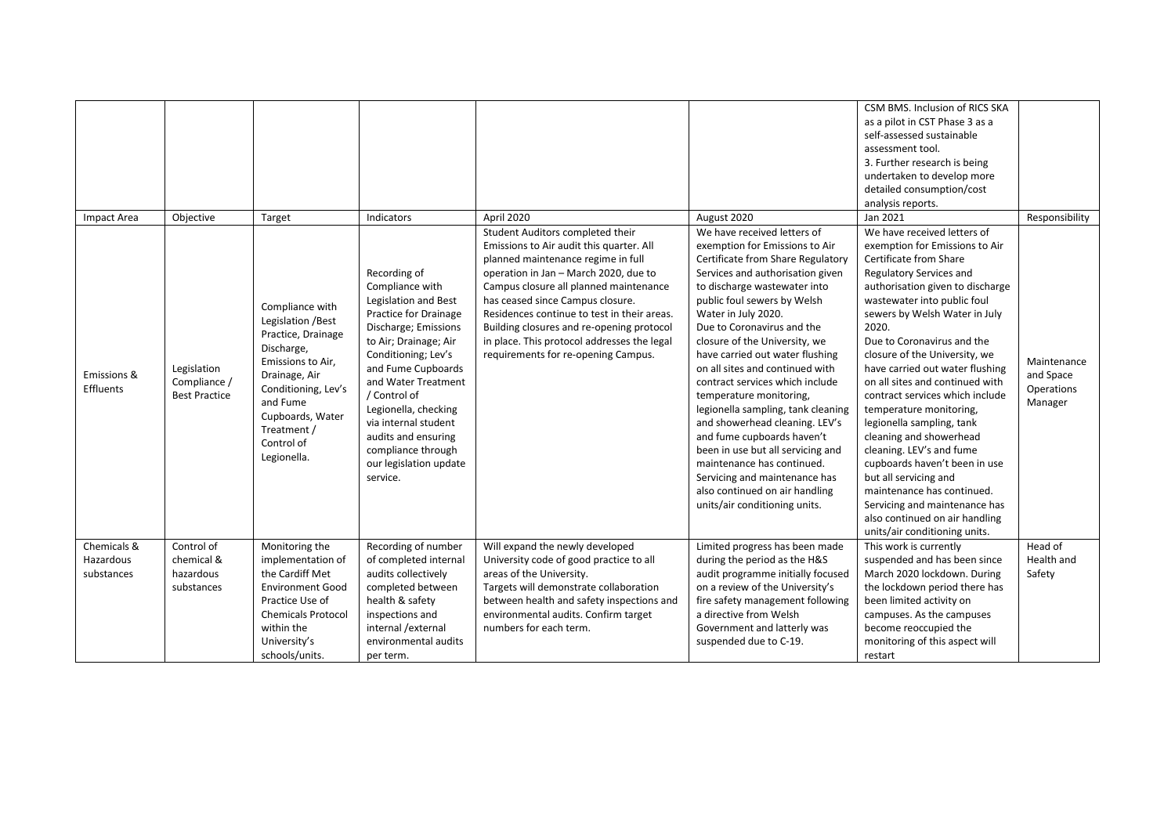|                          |                                                     |                                                                                                                                                                                                                   |                                                                                                                                                                                                                                                                                                                                                          |                                                                                                                                                                                                                                                                                                                                                                                                                             |                                                                                                                                                                                                                                                                                                                                                                                                                                                                                                                                                                                                                                                                                                              | CSM BMS. Inclusion of RICS SKA<br>as a pilot in CST Phase 3 as a<br>self-assessed sustainable<br>assessment tool.<br>3. Further research is being<br>undertaken to develop more<br>detailed consumption/cost<br>analysis reports.                                                                                                                                                                                                                                                                                                                                                                                                                                                                                  |                                                   |
|--------------------------|-----------------------------------------------------|-------------------------------------------------------------------------------------------------------------------------------------------------------------------------------------------------------------------|----------------------------------------------------------------------------------------------------------------------------------------------------------------------------------------------------------------------------------------------------------------------------------------------------------------------------------------------------------|-----------------------------------------------------------------------------------------------------------------------------------------------------------------------------------------------------------------------------------------------------------------------------------------------------------------------------------------------------------------------------------------------------------------------------|--------------------------------------------------------------------------------------------------------------------------------------------------------------------------------------------------------------------------------------------------------------------------------------------------------------------------------------------------------------------------------------------------------------------------------------------------------------------------------------------------------------------------------------------------------------------------------------------------------------------------------------------------------------------------------------------------------------|--------------------------------------------------------------------------------------------------------------------------------------------------------------------------------------------------------------------------------------------------------------------------------------------------------------------------------------------------------------------------------------------------------------------------------------------------------------------------------------------------------------------------------------------------------------------------------------------------------------------------------------------------------------------------------------------------------------------|---------------------------------------------------|
| Impact Area              | Objective                                           | Target                                                                                                                                                                                                            | Indicators                                                                                                                                                                                                                                                                                                                                               | April 2020                                                                                                                                                                                                                                                                                                                                                                                                                  | August 2020                                                                                                                                                                                                                                                                                                                                                                                                                                                                                                                                                                                                                                                                                                  | Jan 2021                                                                                                                                                                                                                                                                                                                                                                                                                                                                                                                                                                                                                                                                                                           | Responsibility                                    |
| Emissions &<br>Effluents | Legislation<br>Compliance /<br><b>Best Practice</b> | Compliance with<br>Legislation /Best<br>Practice, Drainage<br>Discharge,<br>Emissions to Air,<br>Drainage, Air<br>Conditioning, Lev's<br>and Fume<br>Cupboards, Water<br>Treatment /<br>Control of<br>Legionella. | Recording of<br>Compliance with<br>Legislation and Best<br>Practice for Drainage<br>Discharge; Emissions<br>to Air; Drainage; Air<br>Conditioning; Lev's<br>and Fume Cupboards<br>and Water Treatment<br>/ Control of<br>Legionella, checking<br>via internal student<br>audits and ensuring<br>compliance through<br>our legislation update<br>service. | Student Auditors completed their<br>Emissions to Air audit this quarter. All<br>planned maintenance regime in full<br>operation in Jan - March 2020, due to<br>Campus closure all planned maintenance<br>has ceased since Campus closure.<br>Residences continue to test in their areas.<br>Building closures and re-opening protocol<br>in place. This protocol addresses the legal<br>requirements for re-opening Campus. | We have received letters of<br>exemption for Emissions to Air<br>Certificate from Share Regulatory<br>Services and authorisation given<br>to discharge wastewater into<br>public foul sewers by Welsh<br>Water in July 2020.<br>Due to Coronavirus and the<br>closure of the University, we<br>have carried out water flushing<br>on all sites and continued with<br>contract services which include<br>temperature monitoring,<br>legionella sampling, tank cleaning<br>and showerhead cleaning. LEV's<br>and fume cupboards haven't<br>been in use but all servicing and<br>maintenance has continued.<br>Servicing and maintenance has<br>also continued on air handling<br>units/air conditioning units. | We have received letters of<br>exemption for Emissions to Air<br>Certificate from Share<br>Regulatory Services and<br>authorisation given to discharge<br>wastewater into public foul<br>sewers by Welsh Water in July<br>2020.<br>Due to Coronavirus and the<br>closure of the University, we<br>have carried out water flushing<br>on all sites and continued with<br>contract services which include<br>temperature monitoring,<br>legionella sampling, tank<br>cleaning and showerhead<br>cleaning. LEV's and fume<br>cupboards haven't been in use<br>but all servicing and<br>maintenance has continued.<br>Servicing and maintenance has<br>also continued on air handling<br>units/air conditioning units. | Maintenance<br>and Space<br>Operations<br>Manager |
| Chemicals &              | Control of                                          | Monitoring the                                                                                                                                                                                                    | Recording of number                                                                                                                                                                                                                                                                                                                                      | Will expand the newly developed                                                                                                                                                                                                                                                                                                                                                                                             | Limited progress has been made                                                                                                                                                                                                                                                                                                                                                                                                                                                                                                                                                                                                                                                                               | This work is currently                                                                                                                                                                                                                                                                                                                                                                                                                                                                                                                                                                                                                                                                                             | Head of                                           |
| Hazardous<br>substances  | chemical &<br>hazardous<br>substances               | implementation of<br>the Cardiff Met<br><b>Environment Good</b><br>Practice Use of<br><b>Chemicals Protocol</b><br>within the<br>University's<br>schools/units.                                                   | of completed internal<br>audits collectively<br>completed between<br>health & safety<br>inspections and<br>internal / external<br>environmental audits<br>per term.                                                                                                                                                                                      | University code of good practice to all<br>areas of the University.<br>Targets will demonstrate collaboration<br>between health and safety inspections and<br>environmental audits. Confirm target<br>numbers for each term.                                                                                                                                                                                                | during the period as the H&S<br>audit programme initially focused<br>on a review of the University's<br>fire safety management following<br>a directive from Welsh<br>Government and latterly was<br>suspended due to C-19.                                                                                                                                                                                                                                                                                                                                                                                                                                                                                  | suspended and has been since<br>March 2020 lockdown. During<br>the lockdown period there has<br>been limited activity on<br>campuses. As the campuses<br>become reoccupied the<br>monitoring of this aspect will<br>restart                                                                                                                                                                                                                                                                                                                                                                                                                                                                                        | Health and<br>Safety                              |